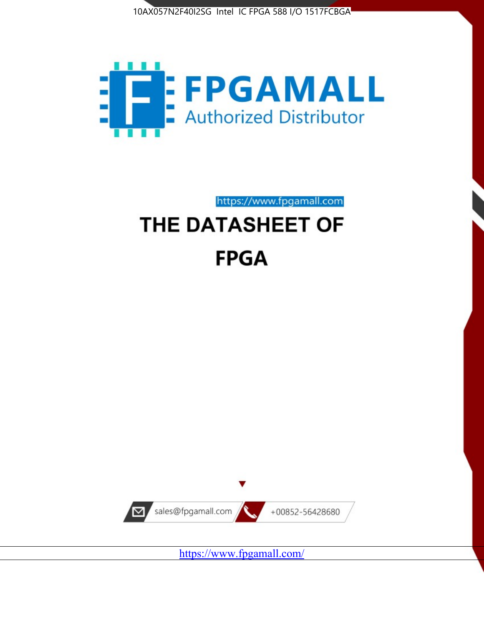



https://www.fpgamall.com

# THE DATASHEET OF **FPGA**



<https://www.fpgamall.com/>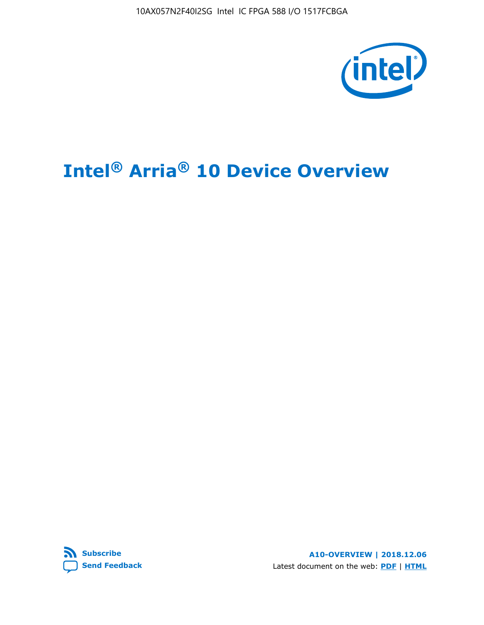10AX057N2F40I2SG Intel IC FPGA 588 I/O 1517FCBGA



# **Intel® Arria® 10 Device Overview**



**A10-OVERVIEW | 2018.12.06** Latest document on the web: **[PDF](https://www.intel.com/content/dam/www/programmable/us/en/pdfs/literature/hb/arria-10/a10_overview.pdf)** | **[HTML](https://www.intel.com/content/www/us/en/programmable/documentation/sam1403480274650.html)**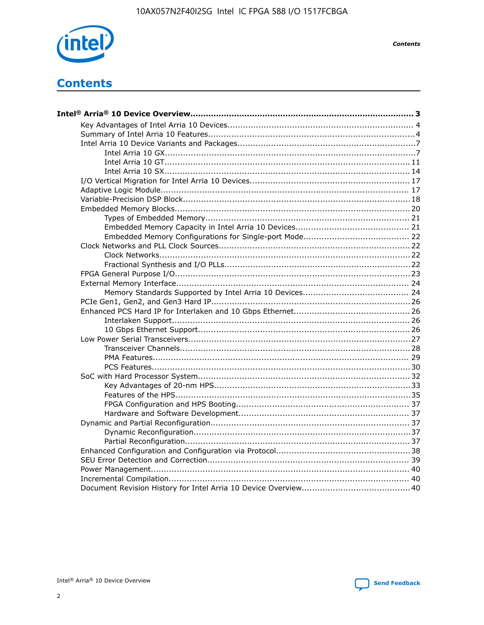

**Contents** 

## **Contents**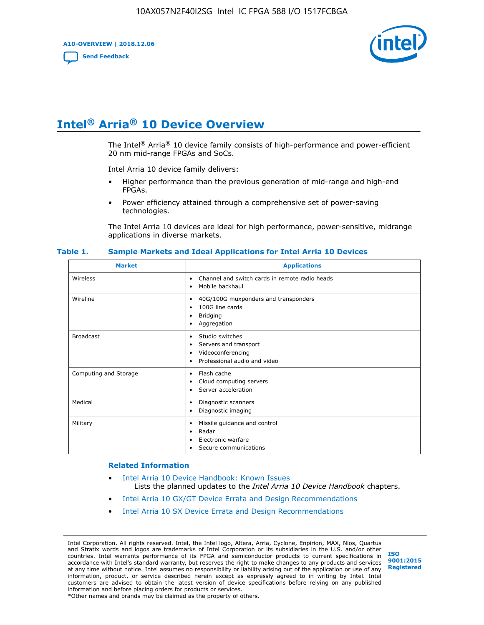**A10-OVERVIEW | 2018.12.06**

**[Send Feedback](mailto:FPGAtechdocfeedback@intel.com?subject=Feedback%20on%20Intel%20Arria%2010%20Device%20Overview%20(A10-OVERVIEW%202018.12.06)&body=We%20appreciate%20your%20feedback.%20In%20your%20comments,%20also%20specify%20the%20page%20number%20or%20paragraph.%20Thank%20you.)**



## **Intel® Arria® 10 Device Overview**

The Intel<sup>®</sup> Arria<sup>®</sup> 10 device family consists of high-performance and power-efficient 20 nm mid-range FPGAs and SoCs.

Intel Arria 10 device family delivers:

- Higher performance than the previous generation of mid-range and high-end FPGAs.
- Power efficiency attained through a comprehensive set of power-saving technologies.

The Intel Arria 10 devices are ideal for high performance, power-sensitive, midrange applications in diverse markets.

| <b>Market</b>         | <b>Applications</b>                                                                                               |
|-----------------------|-------------------------------------------------------------------------------------------------------------------|
| Wireless              | Channel and switch cards in remote radio heads<br>٠<br>Mobile backhaul<br>٠                                       |
| Wireline              | 40G/100G muxponders and transponders<br>٠<br>100G line cards<br>٠<br><b>Bridging</b><br>٠<br>Aggregation<br>٠     |
| <b>Broadcast</b>      | Studio switches<br>٠<br>Servers and transport<br>٠<br>Videoconferencing<br>٠<br>Professional audio and video<br>٠ |
| Computing and Storage | Flash cache<br>٠<br>Cloud computing servers<br>٠<br>Server acceleration<br>٠                                      |
| Medical               | Diagnostic scanners<br>٠<br>Diagnostic imaging<br>٠                                                               |
| Military              | Missile guidance and control<br>٠<br>Radar<br>٠<br>Electronic warfare<br>٠<br>Secure communications<br>٠          |

#### **Table 1. Sample Markets and Ideal Applications for Intel Arria 10 Devices**

#### **Related Information**

- [Intel Arria 10 Device Handbook: Known Issues](http://www.altera.com/support/kdb/solutions/rd07302013_646.html) Lists the planned updates to the *Intel Arria 10 Device Handbook* chapters.
- [Intel Arria 10 GX/GT Device Errata and Design Recommendations](https://www.intel.com/content/www/us/en/programmable/documentation/agz1493851706374.html#yqz1494433888646)
- [Intel Arria 10 SX Device Errata and Design Recommendations](https://www.intel.com/content/www/us/en/programmable/documentation/cru1462832385668.html#cru1462832558642)

Intel Corporation. All rights reserved. Intel, the Intel logo, Altera, Arria, Cyclone, Enpirion, MAX, Nios, Quartus and Stratix words and logos are trademarks of Intel Corporation or its subsidiaries in the U.S. and/or other countries. Intel warrants performance of its FPGA and semiconductor products to current specifications in accordance with Intel's standard warranty, but reserves the right to make changes to any products and services at any time without notice. Intel assumes no responsibility or liability arising out of the application or use of any information, product, or service described herein except as expressly agreed to in writing by Intel. Intel customers are advised to obtain the latest version of device specifications before relying on any published information and before placing orders for products or services. \*Other names and brands may be claimed as the property of others.

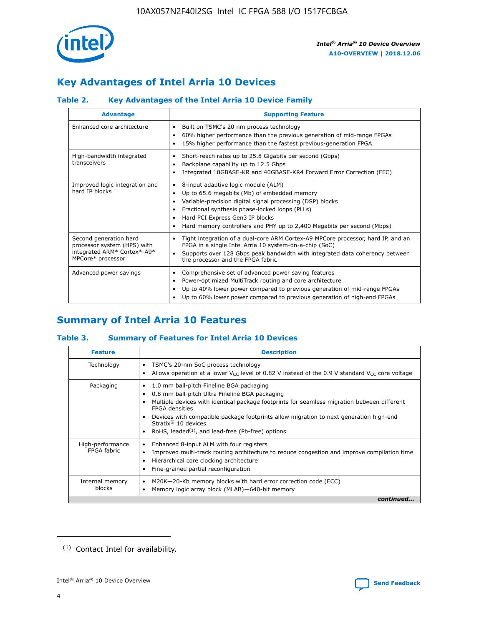

### **Key Advantages of Intel Arria 10 Devices**

### **Table 2. Key Advantages of the Intel Arria 10 Device Family**

| <b>Advantage</b>                                                                                          | <b>Supporting Feature</b>                                                                                                                                                                                                                                                                                                |  |  |  |  |  |  |
|-----------------------------------------------------------------------------------------------------------|--------------------------------------------------------------------------------------------------------------------------------------------------------------------------------------------------------------------------------------------------------------------------------------------------------------------------|--|--|--|--|--|--|
| Enhanced core architecture                                                                                | Built on TSMC's 20 nm process technology<br>٠<br>60% higher performance than the previous generation of mid-range FPGAs<br>٠<br>15% higher performance than the fastest previous-generation FPGA<br>٠                                                                                                                    |  |  |  |  |  |  |
| High-bandwidth integrated<br>transceivers                                                                 | Short-reach rates up to 25.8 Gigabits per second (Gbps)<br>٠<br>Backplane capability up to 12.5 Gbps<br>٠<br>Integrated 10GBASE-KR and 40GBASE-KR4 Forward Error Correction (FEC)<br>٠                                                                                                                                   |  |  |  |  |  |  |
| Improved logic integration and<br>hard IP blocks                                                          | 8-input adaptive logic module (ALM)<br>٠<br>Up to 65.6 megabits (Mb) of embedded memory<br>٠<br>Variable-precision digital signal processing (DSP) blocks<br>Fractional synthesis phase-locked loops (PLLs)<br>Hard PCI Express Gen3 IP blocks<br>Hard memory controllers and PHY up to 2,400 Megabits per second (Mbps) |  |  |  |  |  |  |
| Second generation hard<br>processor system (HPS) with<br>integrated ARM* Cortex*-A9*<br>MPCore* processor | Tight integration of a dual-core ARM Cortex-A9 MPCore processor, hard IP, and an<br>٠<br>FPGA in a single Intel Arria 10 system-on-a-chip (SoC)<br>Supports over 128 Gbps peak bandwidth with integrated data coherency between<br>$\bullet$<br>the processor and the FPGA fabric                                        |  |  |  |  |  |  |
| Advanced power savings                                                                                    | Comprehensive set of advanced power saving features<br>٠<br>Power-optimized MultiTrack routing and core architecture<br>٠<br>Up to 40% lower power compared to previous generation of mid-range FPGAs<br>Up to 60% lower power compared to previous generation of high-end FPGAs                                         |  |  |  |  |  |  |

### **Summary of Intel Arria 10 Features**

### **Table 3. Summary of Features for Intel Arria 10 Devices**

| <b>Feature</b>                  | <b>Description</b>                                                                                                                                                                                                                                                                                                                                                                                 |
|---------------------------------|----------------------------------------------------------------------------------------------------------------------------------------------------------------------------------------------------------------------------------------------------------------------------------------------------------------------------------------------------------------------------------------------------|
| Technology                      | TSMC's 20-nm SoC process technology<br>Allows operation at a lower $V_{\text{CC}}$ level of 0.82 V instead of the 0.9 V standard $V_{\text{CC}}$ core voltage                                                                                                                                                                                                                                      |
| Packaging                       | 1.0 mm ball-pitch Fineline BGA packaging<br>٠<br>0.8 mm ball-pitch Ultra Fineline BGA packaging<br>Multiple devices with identical package footprints for seamless migration between different<br><b>FPGA</b> densities<br>Devices with compatible package footprints allow migration to next generation high-end<br>Stratix $@10$ devices<br>RoHS, leaded $(1)$ , and lead-free (Pb-free) options |
| High-performance<br>FPGA fabric | Enhanced 8-input ALM with four registers<br>Improved multi-track routing architecture to reduce congestion and improve compilation time<br>Hierarchical core clocking architecture<br>Fine-grained partial reconfiguration                                                                                                                                                                         |
| Internal memory<br>blocks       | M20K-20-Kb memory blocks with hard error correction code (ECC)<br>Memory logic array block (MLAB)-640-bit memory                                                                                                                                                                                                                                                                                   |
|                                 | continued                                                                                                                                                                                                                                                                                                                                                                                          |



<sup>(1)</sup> Contact Intel for availability.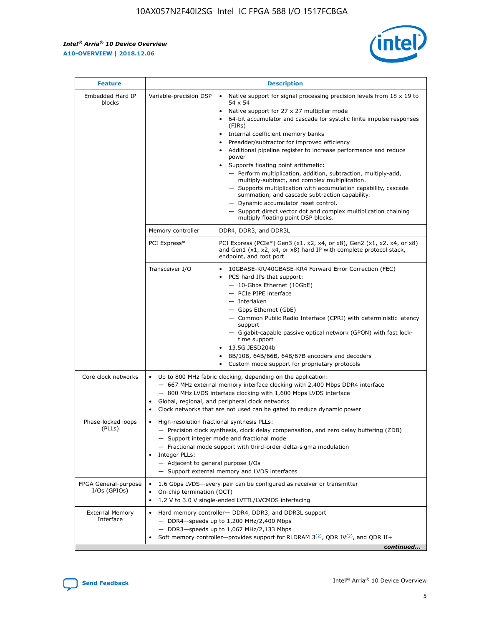r



| <b>Feature</b>                         |                                                                                                                | <b>Description</b>                                                                                                                                                                                                                                                                                                                                                                                                                                                                                                                                                                                                                                                                                                                                                                                                                                               |  |  |  |  |  |  |
|----------------------------------------|----------------------------------------------------------------------------------------------------------------|------------------------------------------------------------------------------------------------------------------------------------------------------------------------------------------------------------------------------------------------------------------------------------------------------------------------------------------------------------------------------------------------------------------------------------------------------------------------------------------------------------------------------------------------------------------------------------------------------------------------------------------------------------------------------------------------------------------------------------------------------------------------------------------------------------------------------------------------------------------|--|--|--|--|--|--|
| Embedded Hard IP<br>blocks             | Variable-precision DSP                                                                                         | Native support for signal processing precision levels from $18 \times 19$ to<br>$\bullet$<br>54 x 54<br>Native support for 27 x 27 multiplier mode<br>$\bullet$<br>64-bit accumulator and cascade for systolic finite impulse responses<br>(FIRs)<br>Internal coefficient memory banks<br>$\bullet$<br>Preadder/subtractor for improved efficiency<br>Additional pipeline register to increase performance and reduce<br>power<br>Supports floating point arithmetic:<br>- Perform multiplication, addition, subtraction, multiply-add,<br>multiply-subtract, and complex multiplication.<br>- Supports multiplication with accumulation capability, cascade<br>summation, and cascade subtraction capability.<br>- Dynamic accumulator reset control.<br>- Support direct vector dot and complex multiplication chaining<br>multiply floating point DSP blocks. |  |  |  |  |  |  |
|                                        | Memory controller                                                                                              | DDR4, DDR3, and DDR3L                                                                                                                                                                                                                                                                                                                                                                                                                                                                                                                                                                                                                                                                                                                                                                                                                                            |  |  |  |  |  |  |
|                                        | PCI Express*                                                                                                   | PCI Express (PCIe*) Gen3 (x1, x2, x4, or x8), Gen2 (x1, x2, x4, or x8)<br>and Gen1 (x1, x2, x4, or x8) hard IP with complete protocol stack,<br>endpoint, and root port                                                                                                                                                                                                                                                                                                                                                                                                                                                                                                                                                                                                                                                                                          |  |  |  |  |  |  |
|                                        | Transceiver I/O                                                                                                | 10GBASE-KR/40GBASE-KR4 Forward Error Correction (FEC)<br>PCS hard IPs that support:<br>- 10-Gbps Ethernet (10GbE)<br>- PCIe PIPE interface<br>- Interlaken<br>- Gbps Ethernet (GbE)<br>- Common Public Radio Interface (CPRI) with deterministic latency<br>support<br>- Gigabit-capable passive optical network (GPON) with fast lock-<br>time support<br>13.5G JESD204b<br>$\bullet$<br>8B/10B, 64B/66B, 64B/67B encoders and decoders<br>Custom mode support for proprietary protocols                                                                                                                                                                                                                                                                                                                                                                        |  |  |  |  |  |  |
| Core clock networks                    | $\bullet$                                                                                                      | Up to 800 MHz fabric clocking, depending on the application:<br>- 667 MHz external memory interface clocking with 2,400 Mbps DDR4 interface<br>- 800 MHz LVDS interface clocking with 1,600 Mbps LVDS interface<br>Global, regional, and peripheral clock networks<br>Clock networks that are not used can be gated to reduce dynamic power                                                                                                                                                                                                                                                                                                                                                                                                                                                                                                                      |  |  |  |  |  |  |
| Phase-locked loops<br>(PLLs)           | High-resolution fractional synthesis PLLs:<br>$\bullet$<br>Integer PLLs:<br>- Adjacent to general purpose I/Os | - Precision clock synthesis, clock delay compensation, and zero delay buffering (ZDB)<br>- Support integer mode and fractional mode<br>- Fractional mode support with third-order delta-sigma modulation<br>- Support external memory and LVDS interfaces                                                                                                                                                                                                                                                                                                                                                                                                                                                                                                                                                                                                        |  |  |  |  |  |  |
| FPGA General-purpose<br>$I/Os$ (GPIOs) | On-chip termination (OCT)<br>٠<br>$\bullet$                                                                    | 1.6 Gbps LVDS-every pair can be configured as receiver or transmitter                                                                                                                                                                                                                                                                                                                                                                                                                                                                                                                                                                                                                                                                                                                                                                                            |  |  |  |  |  |  |
| <b>External Memory</b><br>Interface    | $\bullet$                                                                                                      | 1.2 V to 3.0 V single-ended LVTTL/LVCMOS interfacing<br>Hard memory controller- DDR4, DDR3, and DDR3L support<br>$-$ DDR4-speeds up to 1,200 MHz/2,400 Mbps<br>- DDR3-speeds up to 1,067 MHz/2,133 Mbps<br>Soft memory controller—provides support for RLDRAM $3^{(2)}$ , QDR IV $^{(2)}$ , and QDR II+<br>continued                                                                                                                                                                                                                                                                                                                                                                                                                                                                                                                                             |  |  |  |  |  |  |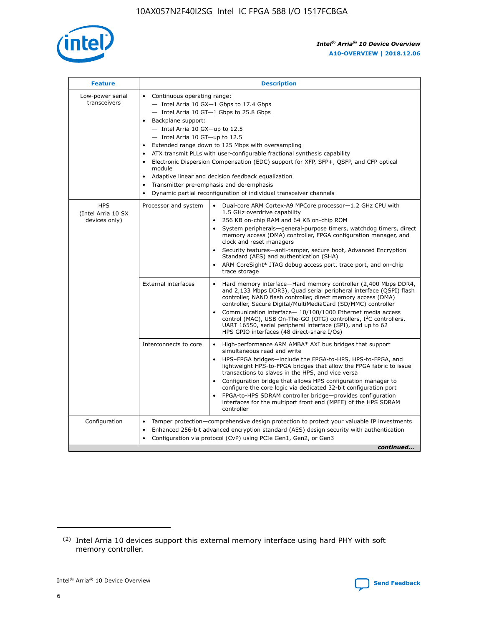

| <b>Feature</b>                                    | <b>Description</b>                                                                                                                                                                                                                                                                                                                                                                                                                                                                                                                                                                                                                         |  |  |  |  |  |  |
|---------------------------------------------------|--------------------------------------------------------------------------------------------------------------------------------------------------------------------------------------------------------------------------------------------------------------------------------------------------------------------------------------------------------------------------------------------------------------------------------------------------------------------------------------------------------------------------------------------------------------------------------------------------------------------------------------------|--|--|--|--|--|--|
| Low-power serial<br>transceivers                  | • Continuous operating range:<br>- Intel Arria 10 GX-1 Gbps to 17.4 Gbps<br>- Intel Arria 10 GT-1 Gbps to 25.8 Gbps<br>Backplane support:<br>$-$ Intel Arria 10 GX-up to 12.5<br>- Intel Arria 10 GT-up to 12.5<br>Extended range down to 125 Mbps with oversampling<br>ATX transmit PLLs with user-configurable fractional synthesis capability<br>Electronic Dispersion Compensation (EDC) support for XFP, SFP+, QSFP, and CFP optical<br>module<br>• Adaptive linear and decision feedback equalization<br>Transmitter pre-emphasis and de-emphasis<br>$\bullet$<br>Dynamic partial reconfiguration of individual transceiver channels |  |  |  |  |  |  |
| <b>HPS</b><br>(Intel Arria 10 SX<br>devices only) | Dual-core ARM Cortex-A9 MPCore processor-1.2 GHz CPU with<br>Processor and system<br>$\bullet$<br>1.5 GHz overdrive capability<br>256 KB on-chip RAM and 64 KB on-chip ROM<br>System peripherals-general-purpose timers, watchdog timers, direct<br>memory access (DMA) controller, FPGA configuration manager, and<br>clock and reset managers<br>Security features-anti-tamper, secure boot, Advanced Encryption<br>$\bullet$<br>Standard (AES) and authentication (SHA)<br>ARM CoreSight* JTAG debug access port, trace port, and on-chip<br>trace storage                                                                              |  |  |  |  |  |  |
|                                                   | <b>External interfaces</b><br>Hard memory interface-Hard memory controller (2,400 Mbps DDR4,<br>$\bullet$<br>and 2,133 Mbps DDR3), Quad serial peripheral interface (QSPI) flash<br>controller, NAND flash controller, direct memory access (DMA)<br>controller, Secure Digital/MultiMediaCard (SD/MMC) controller<br>Communication interface-10/100/1000 Ethernet media access<br>$\bullet$<br>control (MAC), USB On-The-GO (OTG) controllers, I <sup>2</sup> C controllers,<br>UART 16550, serial peripheral interface (SPI), and up to 62<br>HPS GPIO interfaces (48 direct-share I/Os)                                                 |  |  |  |  |  |  |
|                                                   | High-performance ARM AMBA* AXI bus bridges that support<br>Interconnects to core<br>$\bullet$<br>simultaneous read and write<br>HPS-FPGA bridges-include the FPGA-to-HPS, HPS-to-FPGA, and<br>$\bullet$<br>lightweight HPS-to-FPGA bridges that allow the FPGA fabric to issue<br>transactions to slaves in the HPS, and vice versa<br>Configuration bridge that allows HPS configuration manager to<br>configure the core logic via dedicated 32-bit configuration port<br>FPGA-to-HPS SDRAM controller bridge-provides configuration<br>interfaces for the multiport front end (MPFE) of the HPS SDRAM<br>controller                     |  |  |  |  |  |  |
| Configuration                                     | Tamper protection—comprehensive design protection to protect your valuable IP investments<br>Enhanced 256-bit advanced encryption standard (AES) design security with authentication<br>٠<br>Configuration via protocol (CvP) using PCIe Gen1, Gen2, or Gen3<br>continued                                                                                                                                                                                                                                                                                                                                                                  |  |  |  |  |  |  |

<sup>(2)</sup> Intel Arria 10 devices support this external memory interface using hard PHY with soft memory controller.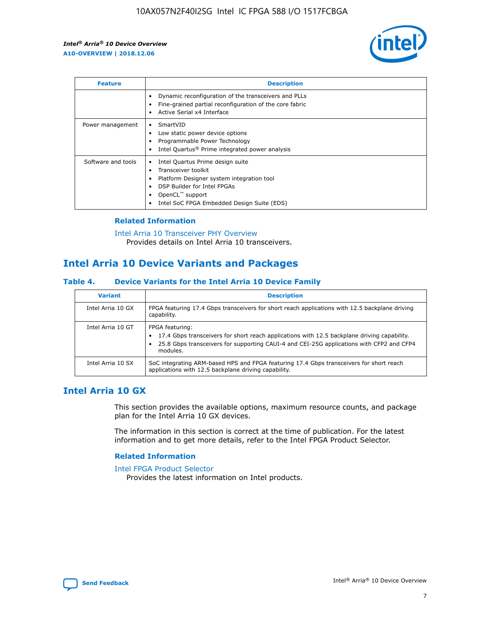

| <b>Feature</b>     | <b>Description</b>                                                                                                                                                                                                            |
|--------------------|-------------------------------------------------------------------------------------------------------------------------------------------------------------------------------------------------------------------------------|
|                    | Dynamic reconfiguration of the transceivers and PLLs<br>Fine-grained partial reconfiguration of the core fabric<br>Active Serial x4 Interface<br>$\bullet$                                                                    |
| Power management   | SmartVID<br>Low static power device options<br>Programmable Power Technology<br>Intel Quartus <sup>®</sup> Prime integrated power analysis                                                                                    |
| Software and tools | Intel Quartus Prime design suite<br>Transceiver toolkit<br>$\bullet$<br>Platform Designer system integration tool<br>DSP Builder for Intel FPGAs<br>OpenCL <sup>™</sup> support<br>Intel SoC FPGA Embedded Design Suite (EDS) |

### **Related Information**

#### [Intel Arria 10 Transceiver PHY Overview](https://www.intel.com/content/www/us/en/programmable/documentation/nik1398707230472.html#nik1398706768037) Provides details on Intel Arria 10 transceivers.

### **Intel Arria 10 Device Variants and Packages**

### **Table 4. Device Variants for the Intel Arria 10 Device Family**

| <b>Variant</b>    | <b>Description</b>                                                                                                                                                                                                     |
|-------------------|------------------------------------------------------------------------------------------------------------------------------------------------------------------------------------------------------------------------|
| Intel Arria 10 GX | FPGA featuring 17.4 Gbps transceivers for short reach applications with 12.5 backplane driving<br>capability.                                                                                                          |
| Intel Arria 10 GT | FPGA featuring:<br>17.4 Gbps transceivers for short reach applications with 12.5 backplane driving capability.<br>25.8 Gbps transceivers for supporting CAUI-4 and CEI-25G applications with CFP2 and CFP4<br>modules. |
| Intel Arria 10 SX | SoC integrating ARM-based HPS and FPGA featuring 17.4 Gbps transceivers for short reach<br>applications with 12.5 backplane driving capability.                                                                        |

### **Intel Arria 10 GX**

This section provides the available options, maximum resource counts, and package plan for the Intel Arria 10 GX devices.

The information in this section is correct at the time of publication. For the latest information and to get more details, refer to the Intel FPGA Product Selector.

### **Related Information**

#### [Intel FPGA Product Selector](http://www.altera.com/products/selector/psg-selector.html) Provides the latest information on Intel products.

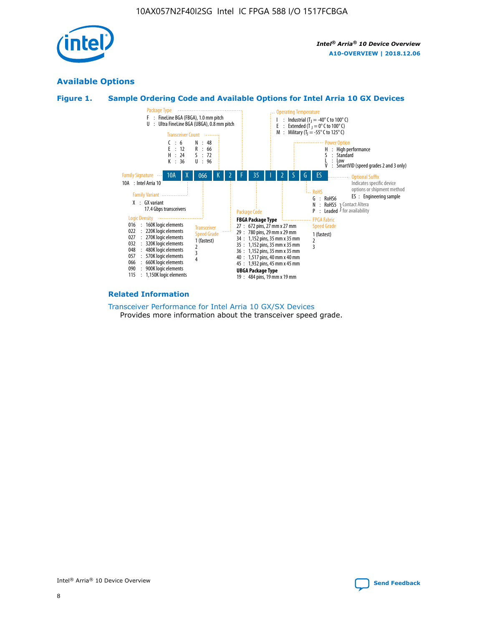

### **Available Options**





#### **Related Information**

[Transceiver Performance for Intel Arria 10 GX/SX Devices](https://www.intel.com/content/www/us/en/programmable/documentation/mcn1413182292568.html#mcn1413213965502) Provides more information about the transceiver speed grade.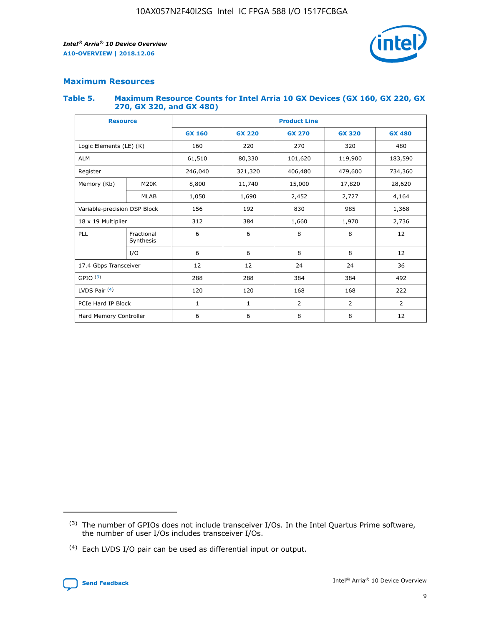

### **Maximum Resources**

#### **Table 5. Maximum Resource Counts for Intel Arria 10 GX Devices (GX 160, GX 220, GX 270, GX 320, and GX 480)**

| <b>Resource</b>         |                              | <b>Product Line</b> |                                                 |                |                |                |  |  |
|-------------------------|------------------------------|---------------------|-------------------------------------------------|----------------|----------------|----------------|--|--|
|                         |                              | <b>GX 160</b>       | <b>GX 220</b><br><b>GX 270</b><br><b>GX 320</b> |                |                | <b>GX 480</b>  |  |  |
| Logic Elements (LE) (K) |                              | 160                 | 220                                             | 270            | 320            | 480            |  |  |
| <b>ALM</b>              |                              | 61,510              | 80,330                                          | 101,620        | 119,900        | 183,590        |  |  |
| Register                |                              | 246,040             | 321,320                                         | 406,480        | 479,600        | 734,360        |  |  |
| Memory (Kb)             | M <sub>20</sub> K            | 8,800               | 11,740                                          | 15,000         | 17,820         | 28,620         |  |  |
|                         | <b>MLAB</b>                  | 1,050               | 1,690                                           | 2,452          | 2,727          | 4,164          |  |  |
|                         | Variable-precision DSP Block |                     | 192                                             | 830<br>985     |                | 1,368          |  |  |
| 18 x 19 Multiplier      |                              | 312                 | 384                                             | 1,970<br>1,660 |                | 2,736          |  |  |
| PLL                     | Fractional<br>Synthesis      | 6                   | 6                                               | 8              | 8              | 12             |  |  |
|                         | I/O                          | 6                   | 6                                               | 8              | 8              | 12             |  |  |
| 17.4 Gbps Transceiver   |                              | 12                  | 12                                              | 24             | 24             | 36             |  |  |
| GPIO <sup>(3)</sup>     |                              | 288                 | 288                                             | 384            | 384            | 492            |  |  |
| LVDS Pair $(4)$         |                              | 120                 | 120                                             | 168            | 168            | 222            |  |  |
| PCIe Hard IP Block      |                              | 1                   | 1                                               | 2              | $\overline{2}$ | $\overline{2}$ |  |  |
| Hard Memory Controller  |                              | 6                   | 6                                               | 8              | 8              | 12             |  |  |

<sup>(4)</sup> Each LVDS I/O pair can be used as differential input or output.



<sup>(3)</sup> The number of GPIOs does not include transceiver I/Os. In the Intel Quartus Prime software, the number of user I/Os includes transceiver I/Os.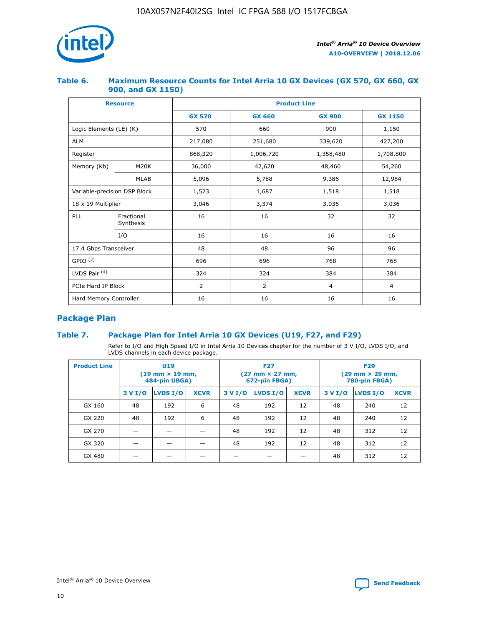

### **Table 6. Maximum Resource Counts for Intel Arria 10 GX Devices (GX 570, GX 660, GX 900, and GX 1150)**

|                              | <b>Resource</b>         | <b>Product Line</b> |                |                |                |  |  |  |
|------------------------------|-------------------------|---------------------|----------------|----------------|----------------|--|--|--|
|                              |                         | <b>GX 570</b>       | <b>GX 660</b>  |                | <b>GX 1150</b> |  |  |  |
| Logic Elements (LE) (K)      |                         | 570                 | 660            | 900            | 1,150          |  |  |  |
| <b>ALM</b>                   |                         | 217,080             | 251,680        | 339,620        | 427,200        |  |  |  |
| Register                     |                         | 868,320             | 1,006,720      | 1,358,480      | 1,708,800      |  |  |  |
| Memory (Kb)                  | <b>M20K</b>             | 36,000              | 42,620         | 48,460         | 54,260         |  |  |  |
|                              | <b>MLAB</b>             | 5,096               | 5,788<br>9,386 |                | 12,984         |  |  |  |
| Variable-precision DSP Block |                         | 1,523               | 1,687          | 1,518          | 1,518          |  |  |  |
|                              | 18 x 19 Multiplier      |                     | 3,374          | 3,036          | 3,036          |  |  |  |
| PLL                          | Fractional<br>Synthesis | 16                  | 16             | 32             | 32             |  |  |  |
|                              | I/O                     | 16                  | 16             | 16             | 16             |  |  |  |
| 17.4 Gbps Transceiver        |                         | 48                  | 48             |                | 96             |  |  |  |
| GPIO <sup>(3)</sup>          |                         | 696                 | 696            | 768            | 768            |  |  |  |
| LVDS Pair $(4)$              |                         | 324                 | 324<br>384     |                | 384            |  |  |  |
| PCIe Hard IP Block           |                         | 2                   | $\overline{2}$ | $\overline{4}$ | $\overline{4}$ |  |  |  |
| Hard Memory Controller       |                         | 16                  | 16             | 16             | 16             |  |  |  |

### **Package Plan**

### **Table 7. Package Plan for Intel Arria 10 GX Devices (U19, F27, and F29)**

Refer to I/O and High Speed I/O in Intel Arria 10 Devices chapter for the number of 3 V I/O, LVDS I/O, and LVDS channels in each device package.

| <b>Product Line</b> | U <sub>19</sub><br>$(19 \text{ mm} \times 19 \text{ mm})$<br>484-pin UBGA) |          |             |         | <b>F27</b><br>(27 mm × 27 mm,<br>672-pin FBGA) |             | <b>F29</b><br>(29 mm × 29 mm,<br>780-pin FBGA) |          |             |  |
|---------------------|----------------------------------------------------------------------------|----------|-------------|---------|------------------------------------------------|-------------|------------------------------------------------|----------|-------------|--|
|                     | 3 V I/O                                                                    | LVDS I/O | <b>XCVR</b> | 3 V I/O | LVDS I/O                                       | <b>XCVR</b> | 3 V I/O                                        | LVDS I/O | <b>XCVR</b> |  |
| GX 160              | 48                                                                         | 192      | 6           | 48      | 192                                            | 12          | 48                                             | 240      | 12          |  |
| GX 220              | 48                                                                         | 192      | 6           | 48      | 192                                            | 12          | 48                                             | 240      | 12          |  |
| GX 270              |                                                                            |          |             | 48      | 192                                            | 12          | 48                                             | 312      | 12          |  |
| GX 320              |                                                                            |          |             | 48      | 192                                            | 12          | 48                                             | 312      | 12          |  |
| GX 480              |                                                                            |          |             |         |                                                |             | 48                                             | 312      | 12          |  |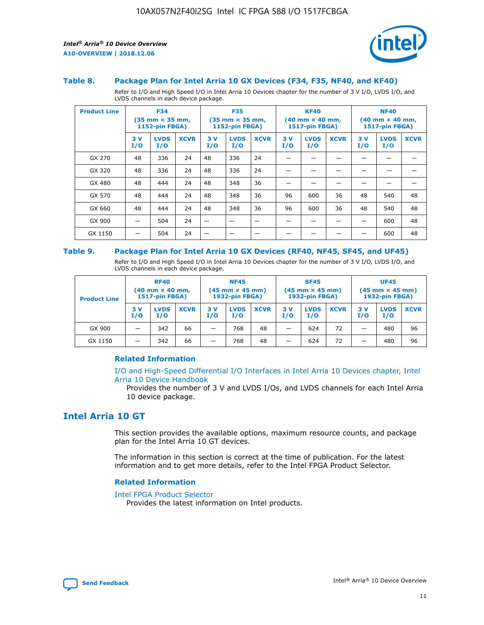

#### **Table 8. Package Plan for Intel Arria 10 GX Devices (F34, F35, NF40, and KF40)**

Refer to I/O and High Speed I/O in Intel Arria 10 Devices chapter for the number of 3 V I/O, LVDS I/O, and LVDS channels in each device package.

| <b>Product Line</b> | <b>F34</b><br>$(35 \text{ mm} \times 35 \text{ mm})$<br><b>1152-pin FBGA)</b> |                    | <b>F35</b><br>$(35 \text{ mm} \times 35 \text{ mm})$<br><b>1152-pin FBGA)</b> |           | <b>KF40</b><br>$(40$ mm $\times$ 40 mm,<br>1517-pin FBGA) |             |           | <b>NF40</b><br>$(40 \text{ mm} \times 40 \text{ mm})$<br>1517-pin FBGA) |             |           |                    |             |
|---------------------|-------------------------------------------------------------------------------|--------------------|-------------------------------------------------------------------------------|-----------|-----------------------------------------------------------|-------------|-----------|-------------------------------------------------------------------------|-------------|-----------|--------------------|-------------|
|                     | 3V<br>I/O                                                                     | <b>LVDS</b><br>I/O | <b>XCVR</b>                                                                   | 3V<br>I/O | <b>LVDS</b><br>I/O                                        | <b>XCVR</b> | 3V<br>I/O | <b>LVDS</b><br>I/O                                                      | <b>XCVR</b> | 3V<br>I/O | <b>LVDS</b><br>I/O | <b>XCVR</b> |
| GX 270              | 48                                                                            | 336                | 24                                                                            | 48        | 336                                                       | 24          |           |                                                                         |             |           |                    |             |
| GX 320              | 48                                                                            | 336                | 24                                                                            | 48        | 336                                                       | 24          |           |                                                                         |             |           |                    |             |
| GX 480              | 48                                                                            | 444                | 24                                                                            | 48        | 348                                                       | 36          |           |                                                                         |             |           |                    |             |
| GX 570              | 48                                                                            | 444                | 24                                                                            | 48        | 348                                                       | 36          | 96        | 600                                                                     | 36          | 48        | 540                | 48          |
| GX 660              | 48                                                                            | 444                | 24                                                                            | 48        | 348                                                       | 36          | 96        | 600                                                                     | 36          | 48        | 540                | 48          |
| GX 900              |                                                                               | 504                | 24                                                                            | –         |                                                           | -           |           |                                                                         |             |           | 600                | 48          |
| GX 1150             |                                                                               | 504                | 24                                                                            |           |                                                           |             |           |                                                                         |             |           | 600                | 48          |

#### **Table 9. Package Plan for Intel Arria 10 GX Devices (RF40, NF45, SF45, and UF45)**

Refer to I/O and High Speed I/O in Intel Arria 10 Devices chapter for the number of 3 V I/O, LVDS I/O, and LVDS channels in each device package.

| <b>Product Line</b> | <b>RF40</b><br>$(40$ mm $\times$ 40 mm,<br>1517-pin FBGA) |                    |             | <b>NF45</b><br>$(45 \text{ mm} \times 45 \text{ mm})$<br><b>1932-pin FBGA)</b> |                    |             | <b>SF45</b><br>$(45 \text{ mm} \times 45 \text{ mm})$<br><b>1932-pin FBGA)</b> |                    |             | <b>UF45</b><br>$(45 \text{ mm} \times 45 \text{ mm})$<br><b>1932-pin FBGA)</b> |                    |             |
|---------------------|-----------------------------------------------------------|--------------------|-------------|--------------------------------------------------------------------------------|--------------------|-------------|--------------------------------------------------------------------------------|--------------------|-------------|--------------------------------------------------------------------------------|--------------------|-------------|
|                     | 3V<br>I/O                                                 | <b>LVDS</b><br>I/O | <b>XCVR</b> | 3 V<br>I/O                                                                     | <b>LVDS</b><br>I/O | <b>XCVR</b> | 3 V<br>I/O                                                                     | <b>LVDS</b><br>I/O | <b>XCVR</b> | 3V<br>I/O                                                                      | <b>LVDS</b><br>I/O | <b>XCVR</b> |
| GX 900              |                                                           | 342                | 66          | _                                                                              | 768                | 48          |                                                                                | 624                | 72          |                                                                                | 480                | 96          |
| GX 1150             |                                                           | 342                | 66          | _                                                                              | 768                | 48          |                                                                                | 624                | 72          |                                                                                | 480                | 96          |

### **Related Information**

[I/O and High-Speed Differential I/O Interfaces in Intel Arria 10 Devices chapter, Intel](https://www.intel.com/content/www/us/en/programmable/documentation/sam1403482614086.html#sam1403482030321) [Arria 10 Device Handbook](https://www.intel.com/content/www/us/en/programmable/documentation/sam1403482614086.html#sam1403482030321)

Provides the number of 3 V and LVDS I/Os, and LVDS channels for each Intel Arria 10 device package.

### **Intel Arria 10 GT**

This section provides the available options, maximum resource counts, and package plan for the Intel Arria 10 GT devices.

The information in this section is correct at the time of publication. For the latest information and to get more details, refer to the Intel FPGA Product Selector.

#### **Related Information**

#### [Intel FPGA Product Selector](http://www.altera.com/products/selector/psg-selector.html)

Provides the latest information on Intel products.

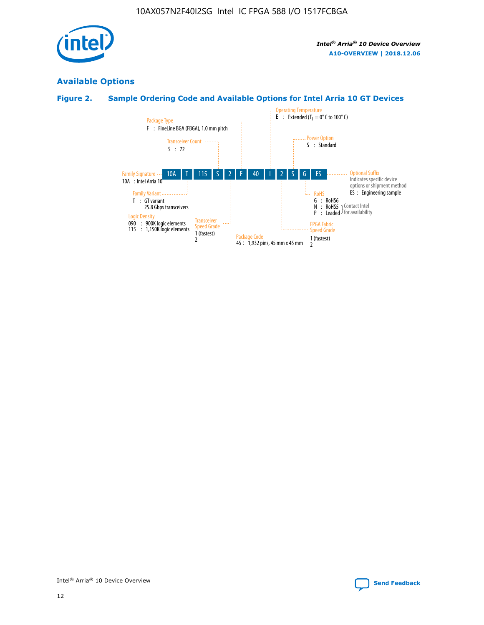

### **Available Options**

### **Figure 2. Sample Ordering Code and Available Options for Intel Arria 10 GT Devices**

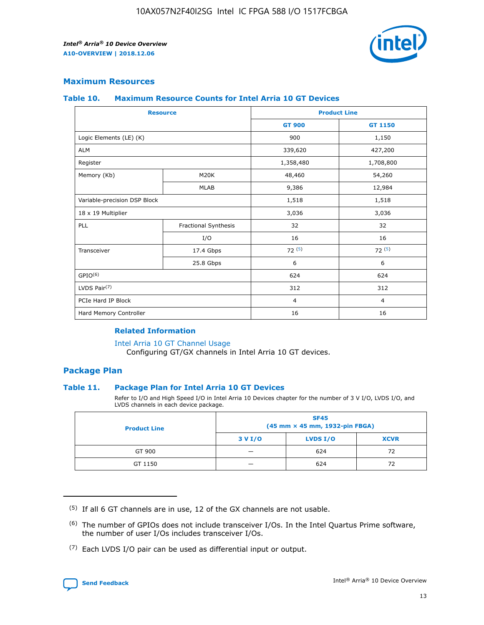

### **Maximum Resources**

#### **Table 10. Maximum Resource Counts for Intel Arria 10 GT Devices**

| <b>Resource</b>              |                      |                | <b>Product Line</b> |  |
|------------------------------|----------------------|----------------|---------------------|--|
|                              |                      | <b>GT 900</b>  | <b>GT 1150</b>      |  |
| Logic Elements (LE) (K)      |                      | 900            | 1,150               |  |
| <b>ALM</b>                   |                      | 339,620        | 427,200             |  |
| Register                     |                      | 1,358,480      | 1,708,800           |  |
| Memory (Kb)                  | M <sub>20</sub> K    | 48,460         | 54,260              |  |
|                              | <b>MLAB</b>          | 9,386          | 12,984              |  |
| Variable-precision DSP Block |                      | 1,518          | 1,518               |  |
| 18 x 19 Multiplier           |                      | 3,036          | 3,036               |  |
| PLL                          | Fractional Synthesis | 32             | 32                  |  |
|                              | I/O                  | 16             | 16                  |  |
| Transceiver                  | 17.4 Gbps            | 72(5)          | 72(5)               |  |
|                              | 25.8 Gbps            | 6              | 6                   |  |
| GPIO <sup>(6)</sup>          |                      | 624            | 624                 |  |
| LVDS Pair $(7)$              |                      | 312            | 312                 |  |
| PCIe Hard IP Block           |                      | $\overline{4}$ | $\overline{4}$      |  |
| Hard Memory Controller       |                      | 16             | 16                  |  |

#### **Related Information**

#### [Intel Arria 10 GT Channel Usage](https://www.intel.com/content/www/us/en/programmable/documentation/nik1398707230472.html#nik1398707008178)

Configuring GT/GX channels in Intel Arria 10 GT devices.

### **Package Plan**

### **Table 11. Package Plan for Intel Arria 10 GT Devices**

Refer to I/O and High Speed I/O in Intel Arria 10 Devices chapter for the number of 3 V I/O, LVDS I/O, and LVDS channels in each device package.

| <b>Product Line</b> | <b>SF45</b><br>(45 mm × 45 mm, 1932-pin FBGA) |                 |             |  |  |  |  |
|---------------------|-----------------------------------------------|-----------------|-------------|--|--|--|--|
|                     | 3 V I/O                                       | <b>LVDS I/O</b> | <b>XCVR</b> |  |  |  |  |
| GT 900              |                                               | 624             | 72          |  |  |  |  |
| GT 1150             |                                               | 624             |             |  |  |  |  |

<sup>(7)</sup> Each LVDS I/O pair can be used as differential input or output.



 $(5)$  If all 6 GT channels are in use, 12 of the GX channels are not usable.

<sup>(6)</sup> The number of GPIOs does not include transceiver I/Os. In the Intel Quartus Prime software, the number of user I/Os includes transceiver I/Os.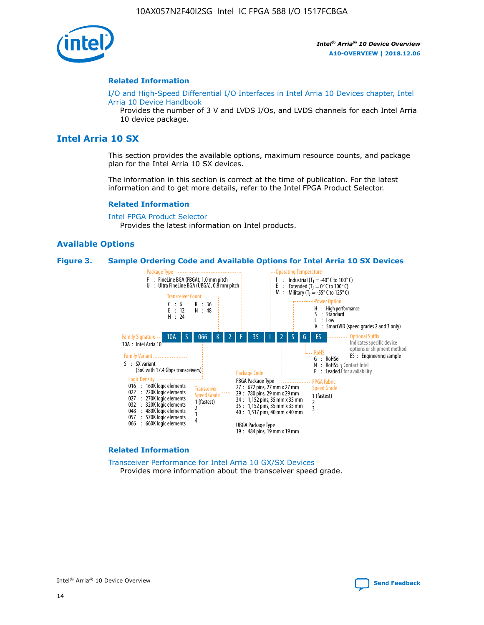

#### **Related Information**

[I/O and High-Speed Differential I/O Interfaces in Intel Arria 10 Devices chapter, Intel](https://www.intel.com/content/www/us/en/programmable/documentation/sam1403482614086.html#sam1403482030321) [Arria 10 Device Handbook](https://www.intel.com/content/www/us/en/programmable/documentation/sam1403482614086.html#sam1403482030321)

Provides the number of 3 V and LVDS I/Os, and LVDS channels for each Intel Arria 10 device package.

### **Intel Arria 10 SX**

This section provides the available options, maximum resource counts, and package plan for the Intel Arria 10 SX devices.

The information in this section is correct at the time of publication. For the latest information and to get more details, refer to the Intel FPGA Product Selector.

#### **Related Information**

[Intel FPGA Product Selector](http://www.altera.com/products/selector/psg-selector.html) Provides the latest information on Intel products.

#### **Available Options**

#### **Figure 3. Sample Ordering Code and Available Options for Intel Arria 10 SX Devices**



#### **Related Information**

[Transceiver Performance for Intel Arria 10 GX/SX Devices](https://www.intel.com/content/www/us/en/programmable/documentation/mcn1413182292568.html#mcn1413213965502) Provides more information about the transceiver speed grade.

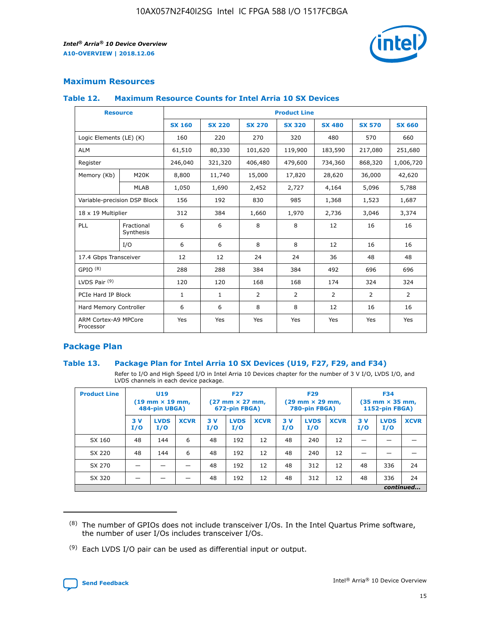

### **Maximum Resources**

### **Table 12. Maximum Resource Counts for Intel Arria 10 SX Devices**

| <b>Resource</b>                   |                         | <b>Product Line</b> |               |                |                |                |                |                |  |  |  |
|-----------------------------------|-------------------------|---------------------|---------------|----------------|----------------|----------------|----------------|----------------|--|--|--|
|                                   |                         | <b>SX 160</b>       | <b>SX 220</b> | <b>SX 270</b>  | <b>SX 320</b>  | <b>SX 480</b>  | <b>SX 570</b>  | <b>SX 660</b>  |  |  |  |
| Logic Elements (LE) (K)           |                         | 160                 | 220           | 270            | 320            | 480            | 570            | 660            |  |  |  |
| <b>ALM</b>                        |                         | 61,510              | 80,330        | 101,620        | 119,900        | 183,590        | 217,080        | 251,680        |  |  |  |
| Register                          |                         | 246,040             | 321,320       | 406,480        | 479,600        | 734,360        | 868,320        | 1,006,720      |  |  |  |
| Memory (Kb)                       | M <sub>20</sub> K       | 8,800               | 11,740        | 15,000         | 17,820         | 28,620         | 36,000         | 42,620         |  |  |  |
|                                   | <b>MLAB</b>             | 1,050               | 1,690         | 2,452          | 2,727          | 4,164          | 5,096          | 5,788          |  |  |  |
| Variable-precision DSP Block      |                         | 156                 | 192           | 830            | 985            | 1,368          | 1,523          | 1,687          |  |  |  |
| 18 x 19 Multiplier                |                         | 312                 | 384           | 1,660          | 1,970          | 2,736          | 3,046          | 3,374          |  |  |  |
| PLL                               | Fractional<br>Synthesis | 6                   | 6             | 8              | 8              | 12             | 16             | 16             |  |  |  |
|                                   | I/O                     | 6                   | 6             | 8              | 8              | 12             | 16             | 16             |  |  |  |
| 17.4 Gbps Transceiver             |                         | 12                  | 12            | 24             | 24             | 36             | 48             | 48             |  |  |  |
| GPIO <sup>(8)</sup>               |                         | 288                 | 288           | 384            | 384            | 492            | 696            | 696            |  |  |  |
| LVDS Pair $(9)$                   |                         | 120                 | 120           | 168            | 168            | 174            | 324            | 324            |  |  |  |
|                                   | PCIe Hard IP Block      |                     | $\mathbf{1}$  | $\overline{2}$ | $\overline{2}$ | $\overline{2}$ | $\overline{2}$ | $\overline{2}$ |  |  |  |
| Hard Memory Controller            |                         | 6                   | 6             | 8              | 8              | 12             | 16             | 16             |  |  |  |
| ARM Cortex-A9 MPCore<br>Processor |                         | Yes                 | Yes           | Yes            | Yes            | Yes            | Yes            | <b>Yes</b>     |  |  |  |

### **Package Plan**

### **Table 13. Package Plan for Intel Arria 10 SX Devices (U19, F27, F29, and F34)**

Refer to I/O and High Speed I/O in Intel Arria 10 Devices chapter for the number of 3 V I/O, LVDS I/O, and LVDS channels in each device package.

| <b>Product Line</b> | U <sub>19</sub><br>$(19 \text{ mm} \times 19 \text{ mm})$<br>484-pin UBGA) |                    | <b>F27</b><br>$(27 \text{ mm} \times 27 \text{ mm})$<br>672-pin FBGA) |           | <b>F29</b><br>$(29 \text{ mm} \times 29 \text{ mm})$<br>780-pin FBGA) |             |            | <b>F34</b><br>$(35 \text{ mm} \times 35 \text{ mm})$<br><b>1152-pin FBGA)</b> |             |           |                    |             |
|---------------------|----------------------------------------------------------------------------|--------------------|-----------------------------------------------------------------------|-----------|-----------------------------------------------------------------------|-------------|------------|-------------------------------------------------------------------------------|-------------|-----------|--------------------|-------------|
|                     | 3V<br>I/O                                                                  | <b>LVDS</b><br>I/O | <b>XCVR</b>                                                           | 3V<br>I/O | <b>LVDS</b><br>I/O                                                    | <b>XCVR</b> | 3 V<br>I/O | <b>LVDS</b><br>I/O                                                            | <b>XCVR</b> | 3V<br>I/O | <b>LVDS</b><br>I/O | <b>XCVR</b> |
| SX 160              | 48                                                                         | 144                | 6                                                                     | 48        | 192                                                                   | 12          | 48         | 240                                                                           | 12          | –         |                    |             |
| SX 220              | 48                                                                         | 144                | 6                                                                     | 48        | 192                                                                   | 12          | 48         | 240                                                                           | 12          |           |                    |             |
| SX 270              |                                                                            |                    |                                                                       | 48        | 192                                                                   | 12          | 48         | 312                                                                           | 12          | 48        | 336                | 24          |
| SX 320              |                                                                            |                    |                                                                       | 48        | 192                                                                   | 12          | 48         | 312                                                                           | 12          | 48        | 336                | 24          |
|                     | continued                                                                  |                    |                                                                       |           |                                                                       |             |            |                                                                               |             |           |                    |             |

 $(8)$  The number of GPIOs does not include transceiver I/Os. In the Intel Quartus Prime software, the number of user I/Os includes transceiver I/Os.

 $(9)$  Each LVDS I/O pair can be used as differential input or output.

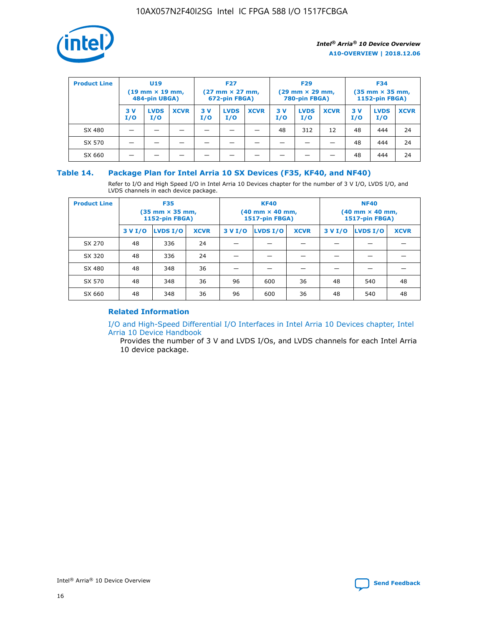

| <b>Product Line</b> | U <sub>19</sub><br>$(19 \text{ mm} \times 19 \text{ mm})$<br>484-pin UBGA) |                    | <b>F27</b><br>$(27 \text{ mm} \times 27 \text{ mm})$<br>672-pin FBGA) |           |                    | <b>F29</b><br>$(29 \text{ mm} \times 29 \text{ mm})$<br>780-pin FBGA) |           |                    | <b>F34</b><br>$(35$ mm $\times$ 35 mm,<br><b>1152-pin FBGA)</b> |           |                    |             |
|---------------------|----------------------------------------------------------------------------|--------------------|-----------------------------------------------------------------------|-----------|--------------------|-----------------------------------------------------------------------|-----------|--------------------|-----------------------------------------------------------------|-----------|--------------------|-------------|
|                     | 3V<br>I/O                                                                  | <b>LVDS</b><br>I/O | <b>XCVR</b>                                                           | 3V<br>I/O | <b>LVDS</b><br>I/O | <b>XCVR</b>                                                           | 3V<br>I/O | <b>LVDS</b><br>I/O | <b>XCVR</b>                                                     | 3V<br>I/O | <b>LVDS</b><br>I/O | <b>XCVR</b> |
| SX 480              |                                                                            |                    |                                                                       |           |                    |                                                                       | 48        | 312                | 12                                                              | 48        | 444                | 24          |
| SX 570              |                                                                            |                    |                                                                       |           |                    |                                                                       |           |                    |                                                                 | 48        | 444                | 24          |
| SX 660              |                                                                            |                    |                                                                       |           |                    |                                                                       |           |                    |                                                                 | 48        | 444                | 24          |

### **Table 14. Package Plan for Intel Arria 10 SX Devices (F35, KF40, and NF40)**

Refer to I/O and High Speed I/O in Intel Arria 10 Devices chapter for the number of 3 V I/O, LVDS I/O, and LVDS channels in each device package.

| <b>Product Line</b> | <b>F35</b><br>(35 mm × 35 mm,<br><b>1152-pin FBGA)</b> |          |             |                                           | <b>KF40</b><br>(40 mm × 40 mm,<br>1517-pin FBGA) |    | <b>NF40</b><br>$(40 \text{ mm} \times 40 \text{ mm})$<br>1517-pin FBGA) |          |             |  |
|---------------------|--------------------------------------------------------|----------|-------------|-------------------------------------------|--------------------------------------------------|----|-------------------------------------------------------------------------|----------|-------------|--|
|                     | 3 V I/O                                                | LVDS I/O | <b>XCVR</b> | <b>LVDS I/O</b><br>3 V I/O<br><b>XCVR</b> |                                                  |    | 3 V I/O                                                                 | LVDS I/O | <b>XCVR</b> |  |
| SX 270              | 48                                                     | 336      | 24          |                                           |                                                  |    |                                                                         |          |             |  |
| SX 320              | 48                                                     | 336      | 24          |                                           |                                                  |    |                                                                         |          |             |  |
| SX 480              | 48                                                     | 348      | 36          |                                           |                                                  |    |                                                                         |          |             |  |
| SX 570              | 48                                                     | 348      | 36          | 96<br>36<br>600                           |                                                  |    | 48                                                                      | 540      | 48          |  |
| SX 660              | 48                                                     | 348      | 36          | 96                                        | 600                                              | 36 | 48                                                                      | 540      | 48          |  |

### **Related Information**

[I/O and High-Speed Differential I/O Interfaces in Intel Arria 10 Devices chapter, Intel](https://www.intel.com/content/www/us/en/programmable/documentation/sam1403482614086.html#sam1403482030321) [Arria 10 Device Handbook](https://www.intel.com/content/www/us/en/programmable/documentation/sam1403482614086.html#sam1403482030321)

Provides the number of 3 V and LVDS I/Os, and LVDS channels for each Intel Arria 10 device package.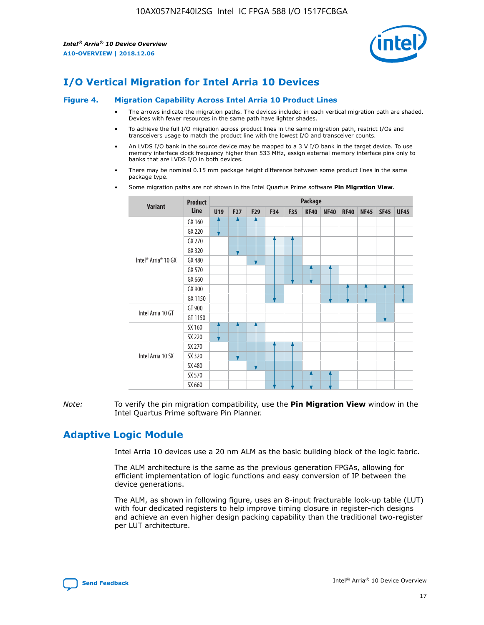

### **I/O Vertical Migration for Intel Arria 10 Devices**

#### **Figure 4. Migration Capability Across Intel Arria 10 Product Lines**

- The arrows indicate the migration paths. The devices included in each vertical migration path are shaded. Devices with fewer resources in the same path have lighter shades.
- To achieve the full I/O migration across product lines in the same migration path, restrict I/Os and transceivers usage to match the product line with the lowest I/O and transceiver counts.
- An LVDS I/O bank in the source device may be mapped to a 3 V I/O bank in the target device. To use memory interface clock frequency higher than 533 MHz, assign external memory interface pins only to banks that are LVDS I/O in both devices.
- There may be nominal 0.15 mm package height difference between some product lines in the same package type.
	- **Variant Product Line Package U19 F27 F29 F34 F35 KF40 NF40 RF40 NF45 SF45 UF45** Intel® Arria® 10 GX GX 160 GX 220 GX 270 GX 320 GX 480 GX 570 GX 660 GX 900 GX 1150 Intel Arria 10 GT GT 900 GT 1150 Intel Arria 10 SX SX 160 SX 220 SX 270 SX 320 SX 480 SX 570 SX 660
- Some migration paths are not shown in the Intel Quartus Prime software **Pin Migration View**.

*Note:* To verify the pin migration compatibility, use the **Pin Migration View** window in the Intel Quartus Prime software Pin Planner.

### **Adaptive Logic Module**

Intel Arria 10 devices use a 20 nm ALM as the basic building block of the logic fabric.

The ALM architecture is the same as the previous generation FPGAs, allowing for efficient implementation of logic functions and easy conversion of IP between the device generations.

The ALM, as shown in following figure, uses an 8-input fracturable look-up table (LUT) with four dedicated registers to help improve timing closure in register-rich designs and achieve an even higher design packing capability than the traditional two-register per LUT architecture.

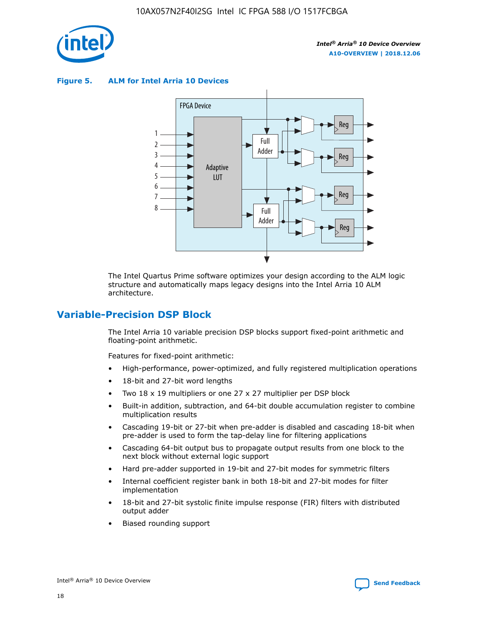

**Figure 5. ALM for Intel Arria 10 Devices**



The Intel Quartus Prime software optimizes your design according to the ALM logic structure and automatically maps legacy designs into the Intel Arria 10 ALM architecture.

### **Variable-Precision DSP Block**

The Intel Arria 10 variable precision DSP blocks support fixed-point arithmetic and floating-point arithmetic.

Features for fixed-point arithmetic:

- High-performance, power-optimized, and fully registered multiplication operations
- 18-bit and 27-bit word lengths
- Two 18 x 19 multipliers or one 27 x 27 multiplier per DSP block
- Built-in addition, subtraction, and 64-bit double accumulation register to combine multiplication results
- Cascading 19-bit or 27-bit when pre-adder is disabled and cascading 18-bit when pre-adder is used to form the tap-delay line for filtering applications
- Cascading 64-bit output bus to propagate output results from one block to the next block without external logic support
- Hard pre-adder supported in 19-bit and 27-bit modes for symmetric filters
- Internal coefficient register bank in both 18-bit and 27-bit modes for filter implementation
- 18-bit and 27-bit systolic finite impulse response (FIR) filters with distributed output adder
- Biased rounding support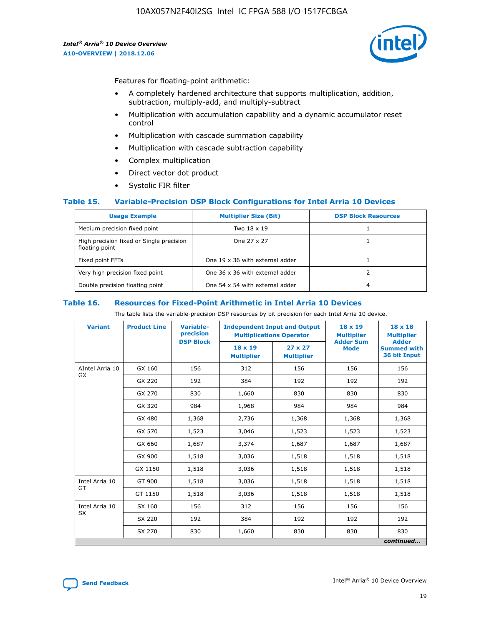

Features for floating-point arithmetic:

- A completely hardened architecture that supports multiplication, addition, subtraction, multiply-add, and multiply-subtract
- Multiplication with accumulation capability and a dynamic accumulator reset control
- Multiplication with cascade summation capability
- Multiplication with cascade subtraction capability
- Complex multiplication
- Direct vector dot product
- Systolic FIR filter

### **Table 15. Variable-Precision DSP Block Configurations for Intel Arria 10 Devices**

| <b>Usage Example</b>                                       | <b>Multiplier Size (Bit)</b>    | <b>DSP Block Resources</b> |
|------------------------------------------------------------|---------------------------------|----------------------------|
| Medium precision fixed point                               | Two 18 x 19                     |                            |
| High precision fixed or Single precision<br>floating point | One 27 x 27                     |                            |
| Fixed point FFTs                                           | One 19 x 36 with external adder |                            |
| Very high precision fixed point                            | One 36 x 36 with external adder |                            |
| Double precision floating point                            | One 54 x 54 with external adder | 4                          |

#### **Table 16. Resources for Fixed-Point Arithmetic in Intel Arria 10 Devices**

The table lists the variable-precision DSP resources by bit precision for each Intel Arria 10 device.

| <b>Variant</b>  | <b>Product Line</b> | <b>Variable-</b><br>precision<br><b>DSP Block</b> | <b>Independent Input and Output</b><br><b>Multiplications Operator</b> |                                     | 18 x 19<br><b>Multiplier</b><br><b>Adder Sum</b> | $18 \times 18$<br><b>Multiplier</b><br><b>Adder</b> |
|-----------------|---------------------|---------------------------------------------------|------------------------------------------------------------------------|-------------------------------------|--------------------------------------------------|-----------------------------------------------------|
|                 |                     |                                                   | 18 x 19<br><b>Multiplier</b>                                           | $27 \times 27$<br><b>Multiplier</b> | <b>Mode</b>                                      | <b>Summed with</b><br>36 bit Input                  |
| AIntel Arria 10 | GX 160              | 156                                               | 312                                                                    | 156                                 | 156                                              | 156                                                 |
| GX              | GX 220              | 192                                               | 384                                                                    | 192                                 | 192                                              | 192                                                 |
|                 | GX 270              | 830                                               | 1,660                                                                  | 830                                 | 830                                              | 830                                                 |
|                 | GX 320              | 984                                               | 1,968                                                                  | 984                                 | 984                                              | 984                                                 |
|                 | GX 480              | 1,368                                             | 2,736                                                                  | 1,368                               | 1,368                                            | 1,368                                               |
|                 | GX 570              | 1,523                                             | 3,046                                                                  | 1,523                               | 1,523                                            | 1,523                                               |
|                 | GX 660              | 1,687                                             | 3,374                                                                  | 1,687                               | 1,687                                            | 1,687                                               |
|                 | GX 900              | 1,518                                             | 3,036                                                                  | 1,518                               | 1,518                                            | 1,518                                               |
|                 | GX 1150             | 1,518                                             | 3,036                                                                  | 1,518                               | 1,518                                            | 1,518                                               |
| Intel Arria 10  | GT 900              | 1,518                                             | 3,036                                                                  | 1,518                               | 1,518                                            | 1,518                                               |
| GT              | GT 1150             | 1,518                                             | 3,036                                                                  | 1,518                               | 1,518                                            | 1,518                                               |
| Intel Arria 10  | SX 160              | 156                                               | 312                                                                    | 156                                 | 156                                              | 156                                                 |
| <b>SX</b>       | SX 220              | 192                                               | 384                                                                    | 192                                 | 192                                              | 192                                                 |
|                 | SX 270              | 830                                               | 1,660                                                                  | 830                                 | 830                                              | 830                                                 |
|                 |                     |                                                   |                                                                        |                                     |                                                  | continued                                           |

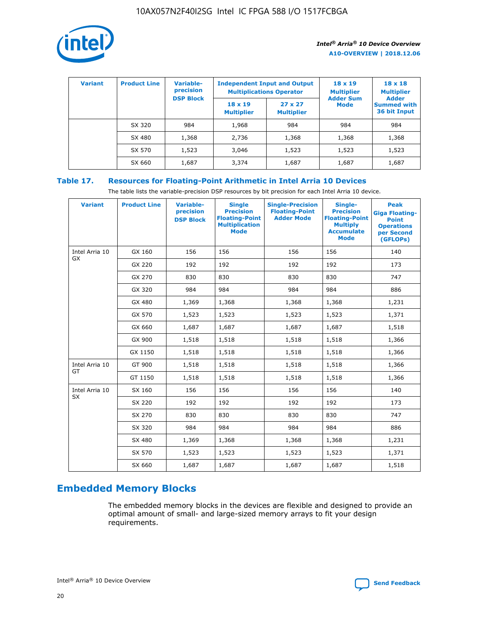

| <b>Variant</b> | <b>Product Line</b> | Variable-<br>precision | <b>Independent Input and Output</b><br><b>Multiplications Operator</b> |                                     | $18 \times 19$<br><b>Multiplier</b> | $18 \times 18$<br><b>Multiplier</b><br><b>Adder</b> |  |
|----------------|---------------------|------------------------|------------------------------------------------------------------------|-------------------------------------|-------------------------------------|-----------------------------------------------------|--|
|                |                     | <b>DSP Block</b>       | $18 \times 19$<br><b>Multiplier</b>                                    | $27 \times 27$<br><b>Multiplier</b> | <b>Adder Sum</b><br><b>Mode</b>     | <b>Summed with</b><br>36 bit Input                  |  |
|                | SX 320              | 984                    | 1,968                                                                  | 984                                 | 984                                 | 984                                                 |  |
|                | SX 480              | 1,368                  | 2,736                                                                  | 1,368                               | 1,368                               | 1,368                                               |  |
|                | SX 570              | 1,523                  | 3,046                                                                  | 1,523                               | 1,523                               | 1,523                                               |  |
|                | SX 660              | 1,687                  | 3,374                                                                  | 1,687                               | 1,687                               | 1,687                                               |  |

### **Table 17. Resources for Floating-Point Arithmetic in Intel Arria 10 Devices**

The table lists the variable-precision DSP resources by bit precision for each Intel Arria 10 device.

| <b>Variant</b> | <b>Product Line</b> | <b>Variable-</b><br>precision<br><b>DSP Block</b> | <b>Single</b><br><b>Precision</b><br><b>Floating-Point</b><br><b>Multiplication</b><br><b>Mode</b> | <b>Single-Precision</b><br><b>Floating-Point</b><br><b>Adder Mode</b> | Single-<br><b>Precision</b><br><b>Floating-Point</b><br><b>Multiply</b><br><b>Accumulate</b><br><b>Mode</b> | <b>Peak</b><br><b>Giga Floating-</b><br><b>Point</b><br><b>Operations</b><br>per Second<br>(GFLOPs) |
|----------------|---------------------|---------------------------------------------------|----------------------------------------------------------------------------------------------------|-----------------------------------------------------------------------|-------------------------------------------------------------------------------------------------------------|-----------------------------------------------------------------------------------------------------|
| Intel Arria 10 | GX 160              | 156                                               | 156                                                                                                | 156                                                                   | 156                                                                                                         | 140                                                                                                 |
| GX             | GX 220              | 192                                               | 192                                                                                                | 192                                                                   | 192                                                                                                         | 173                                                                                                 |
|                | GX 270              | 830                                               | 830                                                                                                | 830                                                                   | 830                                                                                                         | 747                                                                                                 |
|                | GX 320              | 984                                               | 984                                                                                                | 984                                                                   | 984                                                                                                         | 886                                                                                                 |
|                | GX 480              | 1,369                                             | 1,368                                                                                              | 1,368                                                                 | 1,368                                                                                                       | 1,231                                                                                               |
|                | GX 570              | 1,523                                             | 1,523                                                                                              | 1,523                                                                 | 1,523                                                                                                       | 1,371                                                                                               |
|                | GX 660              | 1,687                                             | 1,687                                                                                              | 1,687                                                                 | 1,687                                                                                                       | 1,518                                                                                               |
|                | GX 900              | 1,518                                             | 1,518                                                                                              | 1,518                                                                 | 1,518                                                                                                       | 1,366                                                                                               |
|                | GX 1150             | 1,518                                             | 1,518                                                                                              | 1,518                                                                 | 1,518                                                                                                       | 1,366                                                                                               |
| Intel Arria 10 | GT 900              | 1,518                                             | 1,518                                                                                              | 1,518                                                                 | 1,518                                                                                                       | 1,366                                                                                               |
| GT             | GT 1150             | 1,518                                             | 1,518                                                                                              | 1,518                                                                 | 1,518                                                                                                       | 1,366                                                                                               |
| Intel Arria 10 | SX 160              | 156                                               | 156                                                                                                | 156                                                                   | 156                                                                                                         | 140                                                                                                 |
| <b>SX</b>      | SX 220              | 192                                               | 192                                                                                                | 192                                                                   | 192                                                                                                         | 173                                                                                                 |
|                | SX 270              | 830                                               | 830                                                                                                | 830                                                                   | 830                                                                                                         | 747                                                                                                 |
|                | SX 320              | 984                                               | 984                                                                                                | 984                                                                   | 984                                                                                                         | 886                                                                                                 |
|                | SX 480              | 1,369                                             | 1,368                                                                                              | 1,368                                                                 | 1,368                                                                                                       | 1,231                                                                                               |
|                | SX 570              | 1,523                                             | 1,523                                                                                              | 1,523                                                                 | 1,523                                                                                                       | 1,371                                                                                               |
|                | SX 660              | 1,687                                             | 1,687                                                                                              | 1,687                                                                 | 1,687                                                                                                       | 1,518                                                                                               |

### **Embedded Memory Blocks**

The embedded memory blocks in the devices are flexible and designed to provide an optimal amount of small- and large-sized memory arrays to fit your design requirements.

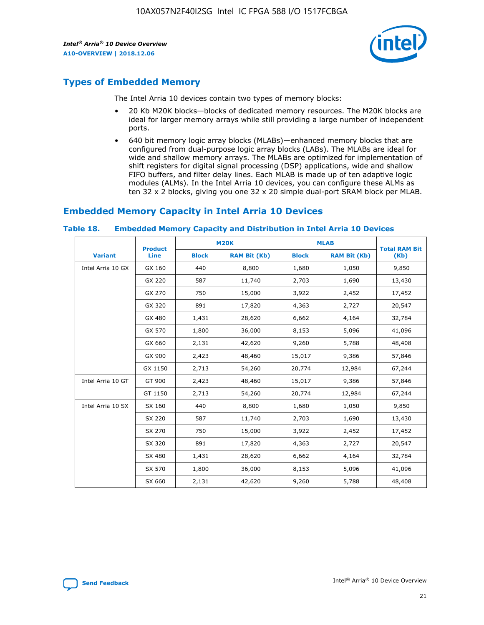

### **Types of Embedded Memory**

The Intel Arria 10 devices contain two types of memory blocks:

- 20 Kb M20K blocks—blocks of dedicated memory resources. The M20K blocks are ideal for larger memory arrays while still providing a large number of independent ports.
- 640 bit memory logic array blocks (MLABs)—enhanced memory blocks that are configured from dual-purpose logic array blocks (LABs). The MLABs are ideal for wide and shallow memory arrays. The MLABs are optimized for implementation of shift registers for digital signal processing (DSP) applications, wide and shallow FIFO buffers, and filter delay lines. Each MLAB is made up of ten adaptive logic modules (ALMs). In the Intel Arria 10 devices, you can configure these ALMs as ten 32 x 2 blocks, giving you one 32 x 20 simple dual-port SRAM block per MLAB.

### **Embedded Memory Capacity in Intel Arria 10 Devices**

|                   | <b>Product</b> |              | <b>M20K</b>         | <b>MLAB</b>  |                     | <b>Total RAM Bit</b> |
|-------------------|----------------|--------------|---------------------|--------------|---------------------|----------------------|
| <b>Variant</b>    | <b>Line</b>    | <b>Block</b> | <b>RAM Bit (Kb)</b> | <b>Block</b> | <b>RAM Bit (Kb)</b> | (Kb)                 |
| Intel Arria 10 GX | GX 160         | 440          | 8,800               | 1,680        | 1,050               | 9,850                |
|                   | GX 220         | 587          | 11,740              | 2,703        | 1,690               | 13,430               |
|                   | GX 270         | 750          | 15,000              | 3,922        | 2,452               | 17,452               |
|                   | GX 320         | 891          | 17,820              | 4,363        | 2,727               | 20,547               |
|                   | GX 480         | 1,431        | 28,620              | 6,662        | 4,164               | 32,784               |
|                   | GX 570         | 1,800        | 36,000              | 8,153        | 5,096               | 41,096               |
|                   | GX 660         | 2,131        | 42,620              | 9,260        | 5,788               | 48,408               |
|                   | GX 900         | 2,423        | 48,460              | 15,017       | 9,386               | 57,846               |
|                   | GX 1150        | 2,713        | 54,260              | 20,774       | 12,984              | 67,244               |
| Intel Arria 10 GT | GT 900         | 2,423        | 48,460              | 15,017       | 9,386               | 57,846               |
|                   | GT 1150        | 2,713        | 54,260              | 20,774       | 12,984              | 67,244               |
| Intel Arria 10 SX | SX 160         | 440          | 8,800               | 1,680        | 1,050               | 9,850                |
|                   | SX 220         | 587          | 11,740              | 2,703        | 1,690               | 13,430               |
|                   | SX 270         | 750          | 15,000              | 3,922        | 2,452               | 17,452               |
|                   | SX 320         | 891          | 17,820              | 4,363        | 2,727               | 20,547               |
|                   | SX 480         | 1,431        | 28,620              | 6,662        | 4,164               | 32,784               |
|                   | SX 570         | 1,800        | 36,000              | 8,153        | 5,096               | 41,096               |
|                   | SX 660         | 2,131        | 42,620              | 9,260        | 5,788               | 48,408               |

#### **Table 18. Embedded Memory Capacity and Distribution in Intel Arria 10 Devices**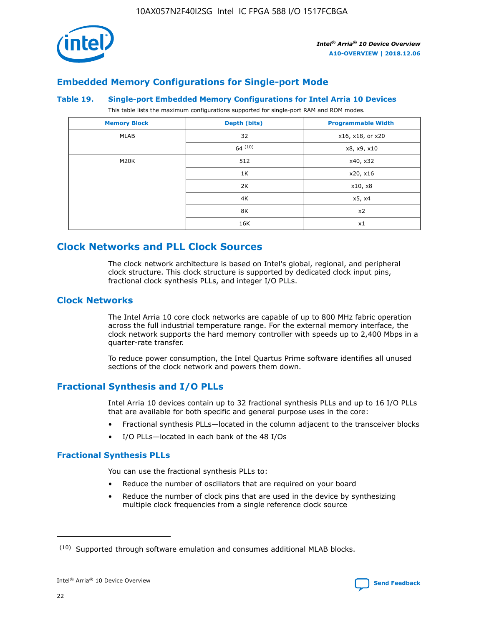

### **Embedded Memory Configurations for Single-port Mode**

#### **Table 19. Single-port Embedded Memory Configurations for Intel Arria 10 Devices**

This table lists the maximum configurations supported for single-port RAM and ROM modes.

| <b>Memory Block</b> | Depth (bits) | <b>Programmable Width</b> |
|---------------------|--------------|---------------------------|
| MLAB                | 32           | x16, x18, or x20          |
|                     | 64(10)       | x8, x9, x10               |
| M20K                | 512          | x40, x32                  |
|                     | 1K           | x20, x16                  |
|                     | 2K           | x10, x8                   |
|                     | 4K           | x5, x4                    |
|                     | 8K           | x2                        |
|                     | 16K          | x1                        |

### **Clock Networks and PLL Clock Sources**

The clock network architecture is based on Intel's global, regional, and peripheral clock structure. This clock structure is supported by dedicated clock input pins, fractional clock synthesis PLLs, and integer I/O PLLs.

### **Clock Networks**

The Intel Arria 10 core clock networks are capable of up to 800 MHz fabric operation across the full industrial temperature range. For the external memory interface, the clock network supports the hard memory controller with speeds up to 2,400 Mbps in a quarter-rate transfer.

To reduce power consumption, the Intel Quartus Prime software identifies all unused sections of the clock network and powers them down.

### **Fractional Synthesis and I/O PLLs**

Intel Arria 10 devices contain up to 32 fractional synthesis PLLs and up to 16 I/O PLLs that are available for both specific and general purpose uses in the core:

- Fractional synthesis PLLs—located in the column adjacent to the transceiver blocks
- I/O PLLs—located in each bank of the 48 I/Os

### **Fractional Synthesis PLLs**

You can use the fractional synthesis PLLs to:

- Reduce the number of oscillators that are required on your board
- Reduce the number of clock pins that are used in the device by synthesizing multiple clock frequencies from a single reference clock source

<sup>(10)</sup> Supported through software emulation and consumes additional MLAB blocks.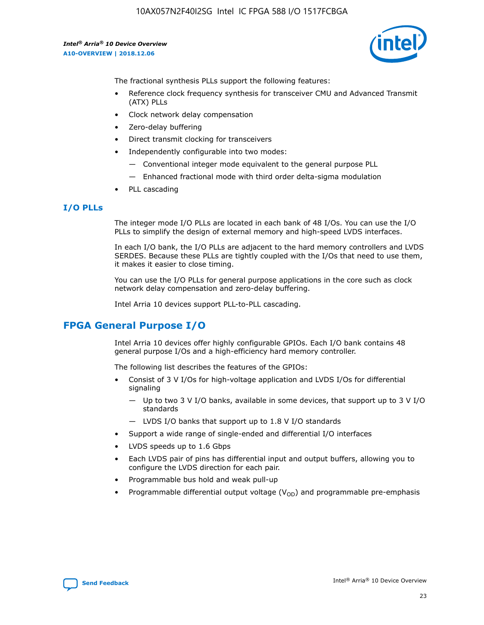

The fractional synthesis PLLs support the following features:

- Reference clock frequency synthesis for transceiver CMU and Advanced Transmit (ATX) PLLs
- Clock network delay compensation
- Zero-delay buffering
- Direct transmit clocking for transceivers
- Independently configurable into two modes:
	- Conventional integer mode equivalent to the general purpose PLL
	- Enhanced fractional mode with third order delta-sigma modulation
- PLL cascading

### **I/O PLLs**

The integer mode I/O PLLs are located in each bank of 48 I/Os. You can use the I/O PLLs to simplify the design of external memory and high-speed LVDS interfaces.

In each I/O bank, the I/O PLLs are adjacent to the hard memory controllers and LVDS SERDES. Because these PLLs are tightly coupled with the I/Os that need to use them, it makes it easier to close timing.

You can use the I/O PLLs for general purpose applications in the core such as clock network delay compensation and zero-delay buffering.

Intel Arria 10 devices support PLL-to-PLL cascading.

### **FPGA General Purpose I/O**

Intel Arria 10 devices offer highly configurable GPIOs. Each I/O bank contains 48 general purpose I/Os and a high-efficiency hard memory controller.

The following list describes the features of the GPIOs:

- Consist of 3 V I/Os for high-voltage application and LVDS I/Os for differential signaling
	- Up to two 3 V I/O banks, available in some devices, that support up to 3 V I/O standards
	- LVDS I/O banks that support up to 1.8 V I/O standards
- Support a wide range of single-ended and differential I/O interfaces
- LVDS speeds up to 1.6 Gbps
- Each LVDS pair of pins has differential input and output buffers, allowing you to configure the LVDS direction for each pair.
- Programmable bus hold and weak pull-up
- Programmable differential output voltage  $(V_{OD})$  and programmable pre-emphasis

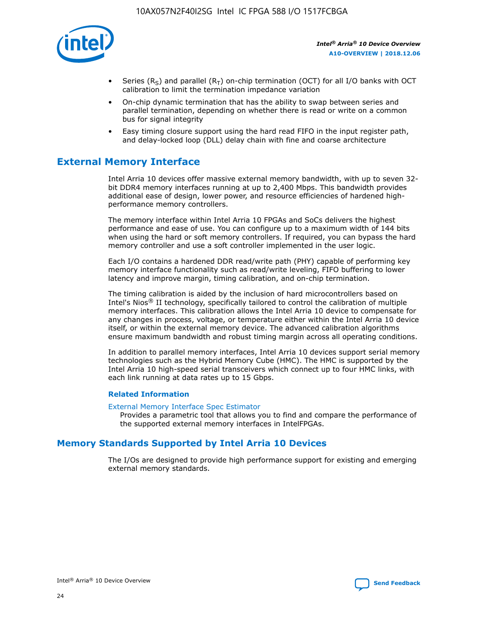

- Series (R<sub>S</sub>) and parallel (R<sub>T</sub>) on-chip termination (OCT) for all I/O banks with OCT calibration to limit the termination impedance variation
- On-chip dynamic termination that has the ability to swap between series and parallel termination, depending on whether there is read or write on a common bus for signal integrity
- Easy timing closure support using the hard read FIFO in the input register path, and delay-locked loop (DLL) delay chain with fine and coarse architecture

### **External Memory Interface**

Intel Arria 10 devices offer massive external memory bandwidth, with up to seven 32 bit DDR4 memory interfaces running at up to 2,400 Mbps. This bandwidth provides additional ease of design, lower power, and resource efficiencies of hardened highperformance memory controllers.

The memory interface within Intel Arria 10 FPGAs and SoCs delivers the highest performance and ease of use. You can configure up to a maximum width of 144 bits when using the hard or soft memory controllers. If required, you can bypass the hard memory controller and use a soft controller implemented in the user logic.

Each I/O contains a hardened DDR read/write path (PHY) capable of performing key memory interface functionality such as read/write leveling, FIFO buffering to lower latency and improve margin, timing calibration, and on-chip termination.

The timing calibration is aided by the inclusion of hard microcontrollers based on Intel's Nios® II technology, specifically tailored to control the calibration of multiple memory interfaces. This calibration allows the Intel Arria 10 device to compensate for any changes in process, voltage, or temperature either within the Intel Arria 10 device itself, or within the external memory device. The advanced calibration algorithms ensure maximum bandwidth and robust timing margin across all operating conditions.

In addition to parallel memory interfaces, Intel Arria 10 devices support serial memory technologies such as the Hybrid Memory Cube (HMC). The HMC is supported by the Intel Arria 10 high-speed serial transceivers which connect up to four HMC links, with each link running at data rates up to 15 Gbps.

### **Related Information**

#### [External Memory Interface Spec Estimator](http://www.altera.com/technology/memory/estimator/mem-emif-index.html)

Provides a parametric tool that allows you to find and compare the performance of the supported external memory interfaces in IntelFPGAs.

### **Memory Standards Supported by Intel Arria 10 Devices**

The I/Os are designed to provide high performance support for existing and emerging external memory standards.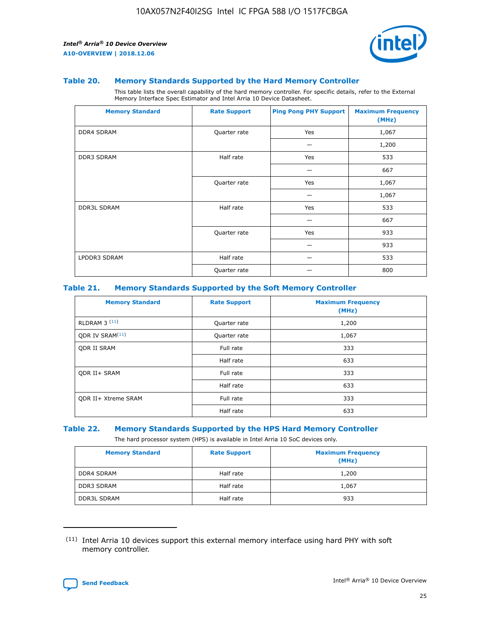

#### **Table 20. Memory Standards Supported by the Hard Memory Controller**

This table lists the overall capability of the hard memory controller. For specific details, refer to the External Memory Interface Spec Estimator and Intel Arria 10 Device Datasheet.

| <b>Memory Standard</b> | <b>Rate Support</b> | <b>Ping Pong PHY Support</b> | <b>Maximum Frequency</b><br>(MHz) |
|------------------------|---------------------|------------------------------|-----------------------------------|
| <b>DDR4 SDRAM</b>      | Quarter rate        | Yes                          | 1,067                             |
|                        |                     |                              | 1,200                             |
| DDR3 SDRAM             | Half rate           | Yes                          | 533                               |
|                        |                     |                              | 667                               |
|                        | Quarter rate        | Yes                          | 1,067                             |
|                        |                     |                              | 1,067                             |
| <b>DDR3L SDRAM</b>     | Half rate           | Yes                          | 533                               |
|                        |                     |                              | 667                               |
|                        | Quarter rate        | Yes                          | 933                               |
|                        |                     |                              | 933                               |
| LPDDR3 SDRAM           | Half rate           |                              | 533                               |
|                        | Quarter rate        |                              | 800                               |

### **Table 21. Memory Standards Supported by the Soft Memory Controller**

| <b>Memory Standard</b>      | <b>Rate Support</b> | <b>Maximum Frequency</b><br>(MHz) |
|-----------------------------|---------------------|-----------------------------------|
| <b>RLDRAM 3 (11)</b>        | Quarter rate        | 1,200                             |
| ODR IV SRAM <sup>(11)</sup> | Quarter rate        | 1,067                             |
| <b>ODR II SRAM</b>          | Full rate           | 333                               |
|                             | Half rate           | 633                               |
| <b>ODR II+ SRAM</b>         | Full rate           | 333                               |
|                             | Half rate           | 633                               |
| <b>ODR II+ Xtreme SRAM</b>  | Full rate           | 333                               |
|                             | Half rate           | 633                               |

#### **Table 22. Memory Standards Supported by the HPS Hard Memory Controller**

The hard processor system (HPS) is available in Intel Arria 10 SoC devices only.

| <b>Memory Standard</b> | <b>Rate Support</b> | <b>Maximum Frequency</b><br>(MHz) |
|------------------------|---------------------|-----------------------------------|
| <b>DDR4 SDRAM</b>      | Half rate           | 1,200                             |
| <b>DDR3 SDRAM</b>      | Half rate           | 1,067                             |
| <b>DDR3L SDRAM</b>     | Half rate           | 933                               |

<sup>(11)</sup> Intel Arria 10 devices support this external memory interface using hard PHY with soft memory controller.

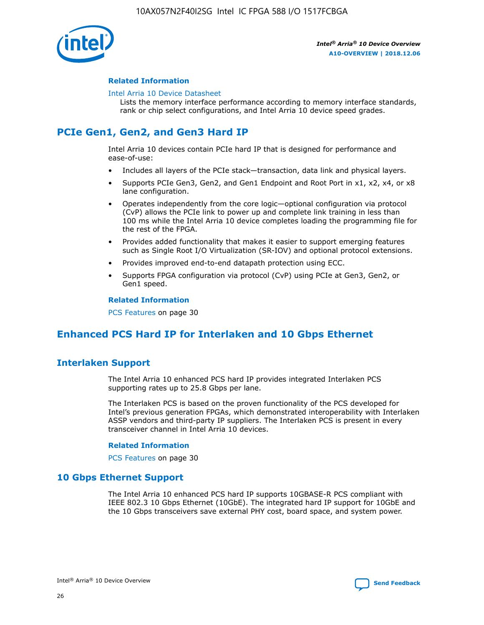

### **Related Information**

#### [Intel Arria 10 Device Datasheet](https://www.intel.com/content/www/us/en/programmable/documentation/mcn1413182292568.html#mcn1413182153340)

Lists the memory interface performance according to memory interface standards, rank or chip select configurations, and Intel Arria 10 device speed grades.

### **PCIe Gen1, Gen2, and Gen3 Hard IP**

Intel Arria 10 devices contain PCIe hard IP that is designed for performance and ease-of-use:

- Includes all layers of the PCIe stack—transaction, data link and physical layers.
- Supports PCIe Gen3, Gen2, and Gen1 Endpoint and Root Port in x1, x2, x4, or x8 lane configuration.
- Operates independently from the core logic—optional configuration via protocol (CvP) allows the PCIe link to power up and complete link training in less than 100 ms while the Intel Arria 10 device completes loading the programming file for the rest of the FPGA.
- Provides added functionality that makes it easier to support emerging features such as Single Root I/O Virtualization (SR-IOV) and optional protocol extensions.
- Provides improved end-to-end datapath protection using ECC.
- Supports FPGA configuration via protocol (CvP) using PCIe at Gen3, Gen2, or Gen1 speed.

#### **Related Information**

PCS Features on page 30

### **Enhanced PCS Hard IP for Interlaken and 10 Gbps Ethernet**

### **Interlaken Support**

The Intel Arria 10 enhanced PCS hard IP provides integrated Interlaken PCS supporting rates up to 25.8 Gbps per lane.

The Interlaken PCS is based on the proven functionality of the PCS developed for Intel's previous generation FPGAs, which demonstrated interoperability with Interlaken ASSP vendors and third-party IP suppliers. The Interlaken PCS is present in every transceiver channel in Intel Arria 10 devices.

### **Related Information**

PCS Features on page 30

### **10 Gbps Ethernet Support**

The Intel Arria 10 enhanced PCS hard IP supports 10GBASE-R PCS compliant with IEEE 802.3 10 Gbps Ethernet (10GbE). The integrated hard IP support for 10GbE and the 10 Gbps transceivers save external PHY cost, board space, and system power.

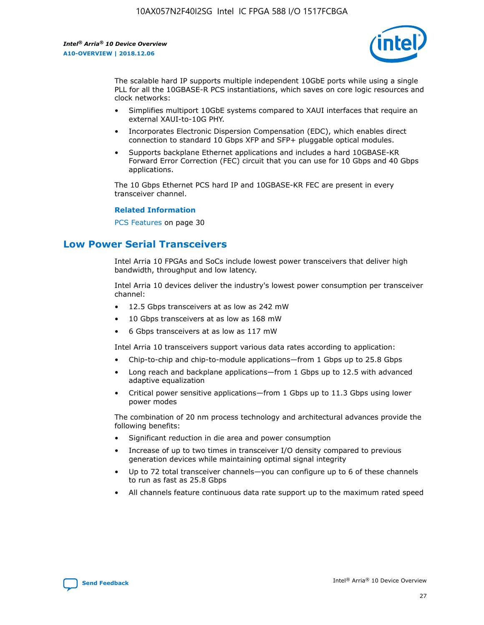

The scalable hard IP supports multiple independent 10GbE ports while using a single PLL for all the 10GBASE-R PCS instantiations, which saves on core logic resources and clock networks:

- Simplifies multiport 10GbE systems compared to XAUI interfaces that require an external XAUI-to-10G PHY.
- Incorporates Electronic Dispersion Compensation (EDC), which enables direct connection to standard 10 Gbps XFP and SFP+ pluggable optical modules.
- Supports backplane Ethernet applications and includes a hard 10GBASE-KR Forward Error Correction (FEC) circuit that you can use for 10 Gbps and 40 Gbps applications.

The 10 Gbps Ethernet PCS hard IP and 10GBASE-KR FEC are present in every transceiver channel.

#### **Related Information**

PCS Features on page 30

### **Low Power Serial Transceivers**

Intel Arria 10 FPGAs and SoCs include lowest power transceivers that deliver high bandwidth, throughput and low latency.

Intel Arria 10 devices deliver the industry's lowest power consumption per transceiver channel:

- 12.5 Gbps transceivers at as low as 242 mW
- 10 Gbps transceivers at as low as 168 mW
- 6 Gbps transceivers at as low as 117 mW

Intel Arria 10 transceivers support various data rates according to application:

- Chip-to-chip and chip-to-module applications—from 1 Gbps up to 25.8 Gbps
- Long reach and backplane applications—from 1 Gbps up to 12.5 with advanced adaptive equalization
- Critical power sensitive applications—from 1 Gbps up to 11.3 Gbps using lower power modes

The combination of 20 nm process technology and architectural advances provide the following benefits:

- Significant reduction in die area and power consumption
- Increase of up to two times in transceiver I/O density compared to previous generation devices while maintaining optimal signal integrity
- Up to 72 total transceiver channels—you can configure up to 6 of these channels to run as fast as 25.8 Gbps
- All channels feature continuous data rate support up to the maximum rated speed

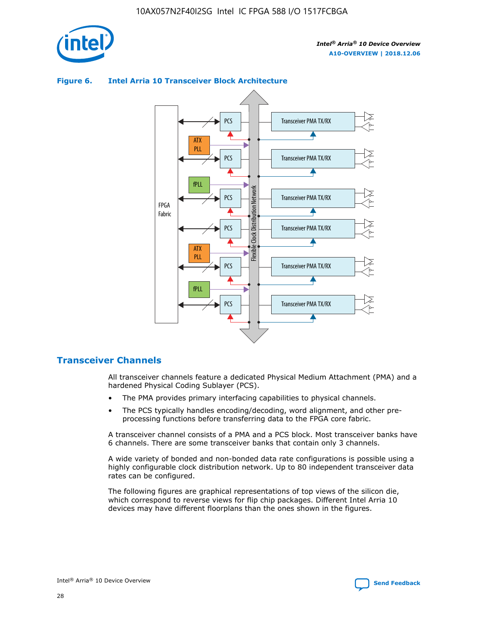



### **Figure 6. Intel Arria 10 Transceiver Block Architecture**

### **Transceiver Channels**

All transceiver channels feature a dedicated Physical Medium Attachment (PMA) and a hardened Physical Coding Sublayer (PCS).

- The PMA provides primary interfacing capabilities to physical channels.
- The PCS typically handles encoding/decoding, word alignment, and other preprocessing functions before transferring data to the FPGA core fabric.

A transceiver channel consists of a PMA and a PCS block. Most transceiver banks have 6 channels. There are some transceiver banks that contain only 3 channels.

A wide variety of bonded and non-bonded data rate configurations is possible using a highly configurable clock distribution network. Up to 80 independent transceiver data rates can be configured.

The following figures are graphical representations of top views of the silicon die, which correspond to reverse views for flip chip packages. Different Intel Arria 10 devices may have different floorplans than the ones shown in the figures.

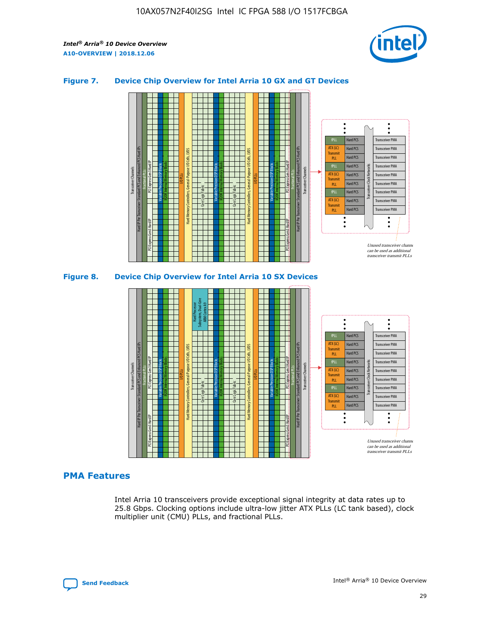

### **Figure 7. Device Chip Overview for Intel Arria 10 GX and GT Devices**



M20K Internal Memory Blocks Core Logic Fabric Transceiver Channels Hard IP Per Transceiver: Standard PCS and Enhanced PCS Hard IPs PCI Express Gen3 Hard IP Fractional PLLs M20K Internal Memory Blocks PCI Express Gen3 Hard IP Variable Precision DSP Blocks I/O PLLs Hard Memory Controllers, General-Purpose I/O Cells, LVDS Hard Processor Subsystem, Dual-Core ARM Cortex A9 M20K Internal Memory Blocks Variable Precision DSP Blocks M20K Internal Memory Blocks Core Logic Fabric I/O PLLs Hard Memory Controllers, General-Purpose I/O Cells, LVDS M20K Internal Memory Blocks Variable Precision DSP Blocks M20K Internal Memory Blocks Transceiver Channels Hard IP Per Transceiver: Standard PCS and Enhanced PCS Hard IPs PCI Express Gen3 Hard IP Fractional PLLs PCI Express Gen3 Hard IP  $\ddot{\cdot}$ Hard PCS Transceiver PMA fPLL ATX (LC) Hard PCS Transceiver PMA **Transmit** Hard PCS Transceiver PMA PLL fPLL Hard PCS Transceiver PMA Transceiver Clock Networks ATX (LC) Hard PCS Transceiver PMA Transmi Hard PCS Transceiver PMA PLL fPLL Hard PCS Transceiver PMA Transceiver PMA Hard PCS ATX (LC) **Transmit** Hard PCS Transceiver PMA PLL Unused transceiver chann can be used as additional transceiver transmit PLLs

### **PMA Features**

Intel Arria 10 transceivers provide exceptional signal integrity at data rates up to 25.8 Gbps. Clocking options include ultra-low jitter ATX PLLs (LC tank based), clock multiplier unit (CMU) PLLs, and fractional PLLs.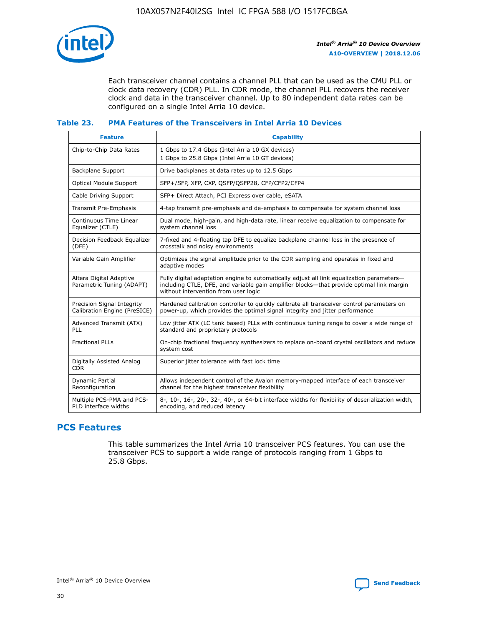

Each transceiver channel contains a channel PLL that can be used as the CMU PLL or clock data recovery (CDR) PLL. In CDR mode, the channel PLL recovers the receiver clock and data in the transceiver channel. Up to 80 independent data rates can be configured on a single Intel Arria 10 device.

### **Table 23. PMA Features of the Transceivers in Intel Arria 10 Devices**

| <b>Feature</b>                                             | <b>Capability</b>                                                                                                                                                                                                             |
|------------------------------------------------------------|-------------------------------------------------------------------------------------------------------------------------------------------------------------------------------------------------------------------------------|
| Chip-to-Chip Data Rates                                    | 1 Gbps to 17.4 Gbps (Intel Arria 10 GX devices)<br>1 Gbps to 25.8 Gbps (Intel Arria 10 GT devices)                                                                                                                            |
| <b>Backplane Support</b>                                   | Drive backplanes at data rates up to 12.5 Gbps                                                                                                                                                                                |
| <b>Optical Module Support</b>                              | SFP+/SFP, XFP, CXP, QSFP/QSFP28, CFP/CFP2/CFP4                                                                                                                                                                                |
| Cable Driving Support                                      | SFP+ Direct Attach, PCI Express over cable, eSATA                                                                                                                                                                             |
| Transmit Pre-Emphasis                                      | 4-tap transmit pre-emphasis and de-emphasis to compensate for system channel loss                                                                                                                                             |
| Continuous Time Linear<br>Equalizer (CTLE)                 | Dual mode, high-gain, and high-data rate, linear receive equalization to compensate for<br>system channel loss                                                                                                                |
| Decision Feedback Equalizer<br>(DFE)                       | 7-fixed and 4-floating tap DFE to equalize backplane channel loss in the presence of<br>crosstalk and noisy environments                                                                                                      |
| Variable Gain Amplifier                                    | Optimizes the signal amplitude prior to the CDR sampling and operates in fixed and<br>adaptive modes                                                                                                                          |
| Altera Digital Adaptive<br>Parametric Tuning (ADAPT)       | Fully digital adaptation engine to automatically adjust all link equalization parameters-<br>including CTLE, DFE, and variable gain amplifier blocks—that provide optimal link margin<br>without intervention from user logic |
| Precision Signal Integrity<br>Calibration Engine (PreSICE) | Hardened calibration controller to quickly calibrate all transceiver control parameters on<br>power-up, which provides the optimal signal integrity and jitter performance                                                    |
| Advanced Transmit (ATX)<br><b>PLL</b>                      | Low jitter ATX (LC tank based) PLLs with continuous tuning range to cover a wide range of<br>standard and proprietary protocols                                                                                               |
| <b>Fractional PLLs</b>                                     | On-chip fractional frequency synthesizers to replace on-board crystal oscillators and reduce<br>system cost                                                                                                                   |
| Digitally Assisted Analog<br><b>CDR</b>                    | Superior jitter tolerance with fast lock time                                                                                                                                                                                 |
| Dynamic Partial<br>Reconfiguration                         | Allows independent control of the Avalon memory-mapped interface of each transceiver<br>channel for the highest transceiver flexibility                                                                                       |
| Multiple PCS-PMA and PCS-<br>PLD interface widths          | 8-, 10-, 16-, 20-, 32-, 40-, or 64-bit interface widths for flexibility of deserialization width,<br>encoding, and reduced latency                                                                                            |

### **PCS Features**

This table summarizes the Intel Arria 10 transceiver PCS features. You can use the transceiver PCS to support a wide range of protocols ranging from 1 Gbps to 25.8 Gbps.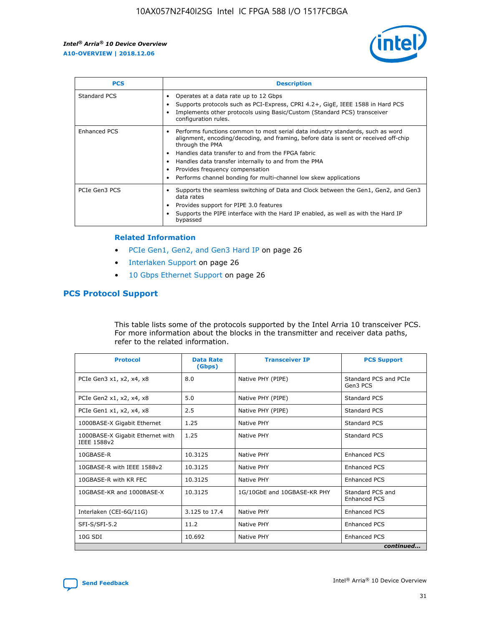

| <b>PCS</b>    | <b>Description</b>                                                                                                                                                                                                                                                                                                                                                                                             |
|---------------|----------------------------------------------------------------------------------------------------------------------------------------------------------------------------------------------------------------------------------------------------------------------------------------------------------------------------------------------------------------------------------------------------------------|
| Standard PCS  | Operates at a data rate up to 12 Gbps<br>Supports protocols such as PCI-Express, CPRI 4.2+, GigE, IEEE 1588 in Hard PCS<br>Implements other protocols using Basic/Custom (Standard PCS) transceiver<br>configuration rules.                                                                                                                                                                                    |
| Enhanced PCS  | Performs functions common to most serial data industry standards, such as word<br>alignment, encoding/decoding, and framing, before data is sent or received off-chip<br>through the PMA<br>• Handles data transfer to and from the FPGA fabric<br>Handles data transfer internally to and from the PMA<br>Provides frequency compensation<br>Performs channel bonding for multi-channel low skew applications |
| PCIe Gen3 PCS | Supports the seamless switching of Data and Clock between the Gen1, Gen2, and Gen3<br>data rates<br>Provides support for PIPE 3.0 features<br>Supports the PIPE interface with the Hard IP enabled, as well as with the Hard IP<br>bypassed                                                                                                                                                                    |

#### **Related Information**

- PCIe Gen1, Gen2, and Gen3 Hard IP on page 26
- Interlaken Support on page 26
- 10 Gbps Ethernet Support on page 26

### **PCS Protocol Support**

This table lists some of the protocols supported by the Intel Arria 10 transceiver PCS. For more information about the blocks in the transmitter and receiver data paths, refer to the related information.

| <b>Protocol</b>                                 | <b>Data Rate</b><br>(Gbps) | <b>Transceiver IP</b>       | <b>PCS Support</b>                      |
|-------------------------------------------------|----------------------------|-----------------------------|-----------------------------------------|
| PCIe Gen3 x1, x2, x4, x8                        | 8.0                        | Native PHY (PIPE)           | Standard PCS and PCIe<br>Gen3 PCS       |
| PCIe Gen2 x1, x2, x4, x8                        | 5.0                        | Native PHY (PIPE)           | <b>Standard PCS</b>                     |
| PCIe Gen1 x1, x2, x4, x8                        | 2.5                        | Native PHY (PIPE)           | Standard PCS                            |
| 1000BASE-X Gigabit Ethernet                     | 1.25                       | Native PHY                  | <b>Standard PCS</b>                     |
| 1000BASE-X Gigabit Ethernet with<br>IEEE 1588v2 | 1.25                       | Native PHY                  | Standard PCS                            |
| 10GBASE-R                                       | 10.3125                    | Native PHY                  | <b>Enhanced PCS</b>                     |
| 10GBASE-R with IEEE 1588v2                      | 10.3125                    | Native PHY                  | <b>Enhanced PCS</b>                     |
| 10GBASE-R with KR FEC                           | 10.3125                    | Native PHY                  | <b>Enhanced PCS</b>                     |
| 10GBASE-KR and 1000BASE-X                       | 10.3125                    | 1G/10GbE and 10GBASE-KR PHY | Standard PCS and<br><b>Enhanced PCS</b> |
| Interlaken (CEI-6G/11G)                         | 3.125 to 17.4              | Native PHY                  | <b>Enhanced PCS</b>                     |
| SFI-S/SFI-5.2                                   | 11.2                       | Native PHY                  | <b>Enhanced PCS</b>                     |
| $10G$ SDI                                       | 10.692                     | Native PHY                  | <b>Enhanced PCS</b>                     |
|                                                 |                            |                             | continued                               |

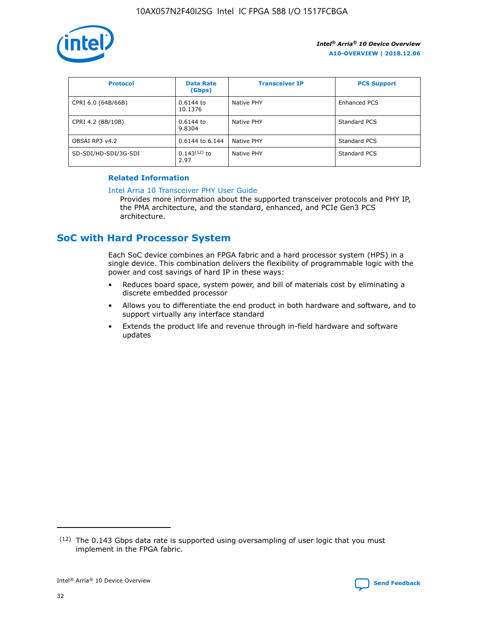

| <b>Protocol</b>      | <b>Data Rate</b><br>(Gbps) | <b>Transceiver IP</b> | <b>PCS Support</b> |
|----------------------|----------------------------|-----------------------|--------------------|
| CPRI 6.0 (64B/66B)   | 0.6144 to<br>10.1376       | Native PHY            | Enhanced PCS       |
| CPRI 4.2 (8B/10B)    | 0.6144 to<br>9.8304        | Native PHY            | Standard PCS       |
| OBSAI RP3 v4.2       | 0.6144 to 6.144            | Native PHY            | Standard PCS       |
| SD-SDI/HD-SDI/3G-SDI | $0.143(12)$ to<br>2.97     | Native PHY            | Standard PCS       |

### **Related Information**

#### [Intel Arria 10 Transceiver PHY User Guide](https://www.intel.com/content/www/us/en/programmable/documentation/nik1398707230472.html#nik1398707091164)

Provides more information about the supported transceiver protocols and PHY IP, the PMA architecture, and the standard, enhanced, and PCIe Gen3 PCS architecture.

### **SoC with Hard Processor System**

Each SoC device combines an FPGA fabric and a hard processor system (HPS) in a single device. This combination delivers the flexibility of programmable logic with the power and cost savings of hard IP in these ways:

- Reduces board space, system power, and bill of materials cost by eliminating a discrete embedded processor
- Allows you to differentiate the end product in both hardware and software, and to support virtually any interface standard
- Extends the product life and revenue through in-field hardware and software updates

 $(12)$  The 0.143 Gbps data rate is supported using oversampling of user logic that you must implement in the FPGA fabric.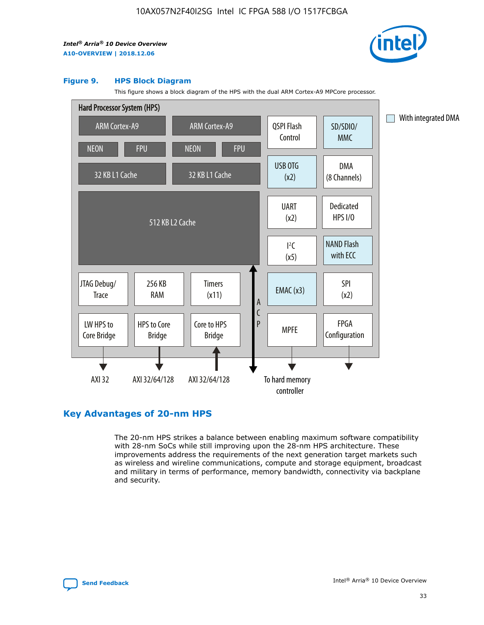

#### **Figure 9. HPS Block Diagram**

This figure shows a block diagram of the HPS with the dual ARM Cortex-A9 MPCore processor.



### **Key Advantages of 20-nm HPS**

The 20-nm HPS strikes a balance between enabling maximum software compatibility with 28-nm SoCs while still improving upon the 28-nm HPS architecture. These improvements address the requirements of the next generation target markets such as wireless and wireline communications, compute and storage equipment, broadcast and military in terms of performance, memory bandwidth, connectivity via backplane and security.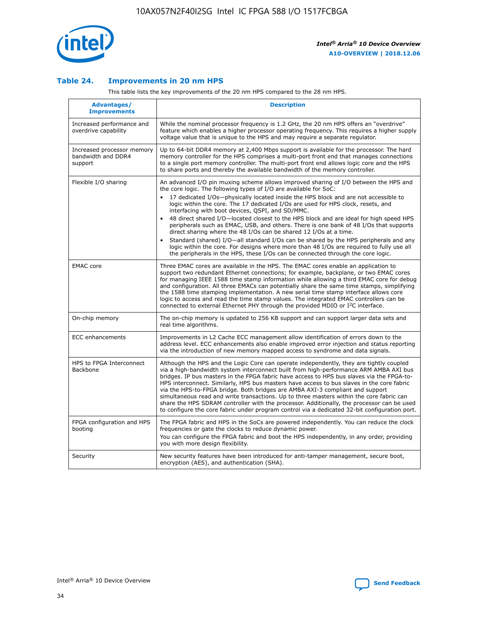

### **Table 24. Improvements in 20 nm HPS**

This table lists the key improvements of the 20 nm HPS compared to the 28 nm HPS.

| Advantages/<br><b>Improvements</b>                          | <b>Description</b>                                                                                                                                                                                                                                                                                                                                                                                                                                                                                                                                                                                                                                                                                                                                                                                                                                                                                                      |
|-------------------------------------------------------------|-------------------------------------------------------------------------------------------------------------------------------------------------------------------------------------------------------------------------------------------------------------------------------------------------------------------------------------------------------------------------------------------------------------------------------------------------------------------------------------------------------------------------------------------------------------------------------------------------------------------------------------------------------------------------------------------------------------------------------------------------------------------------------------------------------------------------------------------------------------------------------------------------------------------------|
| Increased performance and<br>overdrive capability           | While the nominal processor frequency is 1.2 GHz, the 20 nm HPS offers an "overdrive"<br>feature which enables a higher processor operating frequency. This requires a higher supply<br>voltage value that is unique to the HPS and may require a separate regulator.                                                                                                                                                                                                                                                                                                                                                                                                                                                                                                                                                                                                                                                   |
| Increased processor memory<br>bandwidth and DDR4<br>support | Up to 64-bit DDR4 memory at 2,400 Mbps support is available for the processor. The hard<br>memory controller for the HPS comprises a multi-port front end that manages connections<br>to a single port memory controller. The multi-port front end allows logic core and the HPS<br>to share ports and thereby the available bandwidth of the memory controller.                                                                                                                                                                                                                                                                                                                                                                                                                                                                                                                                                        |
| Flexible I/O sharing                                        | An advanced I/O pin muxing scheme allows improved sharing of I/O between the HPS and<br>the core logic. The following types of I/O are available for SoC:<br>17 dedicated I/Os-physically located inside the HPS block and are not accessible to<br>logic within the core. The 17 dedicated I/Os are used for HPS clock, resets, and<br>interfacing with boot devices, QSPI, and SD/MMC.<br>48 direct shared I/O-located closest to the HPS block and are ideal for high speed HPS<br>peripherals such as EMAC, USB, and others. There is one bank of 48 I/Os that supports<br>direct sharing where the 48 I/Os can be shared 12 I/Os at a time.<br>Standard (shared) I/O—all standard I/Os can be shared by the HPS peripherals and any<br>logic within the core. For designs where more than 48 I/Os are required to fully use all<br>the peripherals in the HPS, these I/Os can be connected through the core logic. |
| <b>EMAC</b> core                                            | Three EMAC cores are available in the HPS. The EMAC cores enable an application to<br>support two redundant Ethernet connections; for example, backplane, or two EMAC cores<br>for managing IEEE 1588 time stamp information while allowing a third EMAC core for debug<br>and configuration. All three EMACs can potentially share the same time stamps, simplifying<br>the 1588 time stamping implementation. A new serial time stamp interface allows core<br>logic to access and read the time stamp values. The integrated EMAC controllers can be<br>connected to external Ethernet PHY through the provided MDIO or I <sup>2</sup> C interface.                                                                                                                                                                                                                                                                  |
| On-chip memory                                              | The on-chip memory is updated to 256 KB support and can support larger data sets and<br>real time algorithms.                                                                                                                                                                                                                                                                                                                                                                                                                                                                                                                                                                                                                                                                                                                                                                                                           |
| ECC enhancements                                            | Improvements in L2 Cache ECC management allow identification of errors down to the<br>address level. ECC enhancements also enable improved error injection and status reporting<br>via the introduction of new memory mapped access to syndrome and data signals.                                                                                                                                                                                                                                                                                                                                                                                                                                                                                                                                                                                                                                                       |
| HPS to FPGA Interconnect<br><b>Backbone</b>                 | Although the HPS and the Logic Core can operate independently, they are tightly coupled<br>via a high-bandwidth system interconnect built from high-performance ARM AMBA AXI bus<br>bridges. IP bus masters in the FPGA fabric have access to HPS bus slaves via the FPGA-to-<br>HPS interconnect. Similarly, HPS bus masters have access to bus slaves in the core fabric<br>via the HPS-to-FPGA bridge. Both bridges are AMBA AXI-3 compliant and support<br>simultaneous read and write transactions. Up to three masters within the core fabric can<br>share the HPS SDRAM controller with the processor. Additionally, the processor can be used<br>to configure the core fabric under program control via a dedicated 32-bit configuration port.                                                                                                                                                                  |
| FPGA configuration and HPS<br>booting                       | The FPGA fabric and HPS in the SoCs are powered independently. You can reduce the clock<br>frequencies or gate the clocks to reduce dynamic power.<br>You can configure the FPGA fabric and boot the HPS independently, in any order, providing<br>you with more design flexibility.                                                                                                                                                                                                                                                                                                                                                                                                                                                                                                                                                                                                                                    |
| Security                                                    | New security features have been introduced for anti-tamper management, secure boot,<br>encryption (AES), and authentication (SHA).                                                                                                                                                                                                                                                                                                                                                                                                                                                                                                                                                                                                                                                                                                                                                                                      |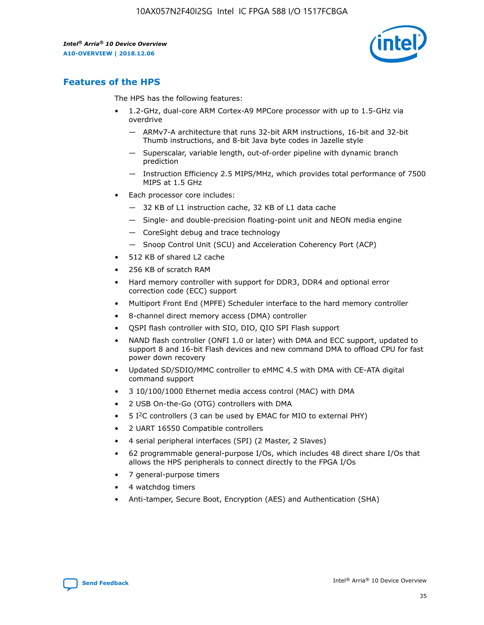

### **Features of the HPS**

The HPS has the following features:

- 1.2-GHz, dual-core ARM Cortex-A9 MPCore processor with up to 1.5-GHz via overdrive
	- ARMv7-A architecture that runs 32-bit ARM instructions, 16-bit and 32-bit Thumb instructions, and 8-bit Java byte codes in Jazelle style
	- Superscalar, variable length, out-of-order pipeline with dynamic branch prediction
	- Instruction Efficiency 2.5 MIPS/MHz, which provides total performance of 7500 MIPS at 1.5 GHz
- Each processor core includes:
	- 32 KB of L1 instruction cache, 32 KB of L1 data cache
	- Single- and double-precision floating-point unit and NEON media engine
	- CoreSight debug and trace technology
	- Snoop Control Unit (SCU) and Acceleration Coherency Port (ACP)
- 512 KB of shared L2 cache
- 256 KB of scratch RAM
- Hard memory controller with support for DDR3, DDR4 and optional error correction code (ECC) support
- Multiport Front End (MPFE) Scheduler interface to the hard memory controller
- 8-channel direct memory access (DMA) controller
- QSPI flash controller with SIO, DIO, QIO SPI Flash support
- NAND flash controller (ONFI 1.0 or later) with DMA and ECC support, updated to support 8 and 16-bit Flash devices and new command DMA to offload CPU for fast power down recovery
- Updated SD/SDIO/MMC controller to eMMC 4.5 with DMA with CE-ATA digital command support
- 3 10/100/1000 Ethernet media access control (MAC) with DMA
- 2 USB On-the-Go (OTG) controllers with DMA
- $\bullet$  5 I<sup>2</sup>C controllers (3 can be used by EMAC for MIO to external PHY)
- 2 UART 16550 Compatible controllers
- 4 serial peripheral interfaces (SPI) (2 Master, 2 Slaves)
- 62 programmable general-purpose I/Os, which includes 48 direct share I/Os that allows the HPS peripherals to connect directly to the FPGA I/Os
- 7 general-purpose timers
- 4 watchdog timers
- Anti-tamper, Secure Boot, Encryption (AES) and Authentication (SHA)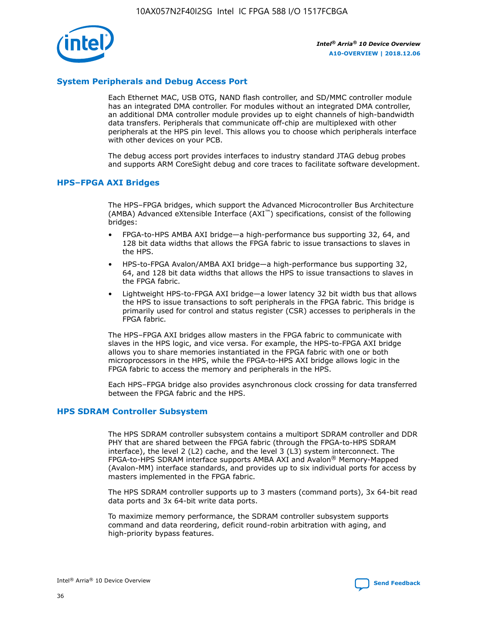

### **System Peripherals and Debug Access Port**

Each Ethernet MAC, USB OTG, NAND flash controller, and SD/MMC controller module has an integrated DMA controller. For modules without an integrated DMA controller, an additional DMA controller module provides up to eight channels of high-bandwidth data transfers. Peripherals that communicate off-chip are multiplexed with other peripherals at the HPS pin level. This allows you to choose which peripherals interface with other devices on your PCB.

The debug access port provides interfaces to industry standard JTAG debug probes and supports ARM CoreSight debug and core traces to facilitate software development.

### **HPS–FPGA AXI Bridges**

The HPS–FPGA bridges, which support the Advanced Microcontroller Bus Architecture (AMBA) Advanced eXtensible Interface (AXI™) specifications, consist of the following bridges:

- FPGA-to-HPS AMBA AXI bridge—a high-performance bus supporting 32, 64, and 128 bit data widths that allows the FPGA fabric to issue transactions to slaves in the HPS.
- HPS-to-FPGA Avalon/AMBA AXI bridge—a high-performance bus supporting 32, 64, and 128 bit data widths that allows the HPS to issue transactions to slaves in the FPGA fabric.
- Lightweight HPS-to-FPGA AXI bridge—a lower latency 32 bit width bus that allows the HPS to issue transactions to soft peripherals in the FPGA fabric. This bridge is primarily used for control and status register (CSR) accesses to peripherals in the FPGA fabric.

The HPS–FPGA AXI bridges allow masters in the FPGA fabric to communicate with slaves in the HPS logic, and vice versa. For example, the HPS-to-FPGA AXI bridge allows you to share memories instantiated in the FPGA fabric with one or both microprocessors in the HPS, while the FPGA-to-HPS AXI bridge allows logic in the FPGA fabric to access the memory and peripherals in the HPS.

Each HPS–FPGA bridge also provides asynchronous clock crossing for data transferred between the FPGA fabric and the HPS.

### **HPS SDRAM Controller Subsystem**

The HPS SDRAM controller subsystem contains a multiport SDRAM controller and DDR PHY that are shared between the FPGA fabric (through the FPGA-to-HPS SDRAM interface), the level 2 (L2) cache, and the level 3 (L3) system interconnect. The FPGA-to-HPS SDRAM interface supports AMBA AXI and Avalon® Memory-Mapped (Avalon-MM) interface standards, and provides up to six individual ports for access by masters implemented in the FPGA fabric.

The HPS SDRAM controller supports up to 3 masters (command ports), 3x 64-bit read data ports and 3x 64-bit write data ports.

To maximize memory performance, the SDRAM controller subsystem supports command and data reordering, deficit round-robin arbitration with aging, and high-priority bypass features.

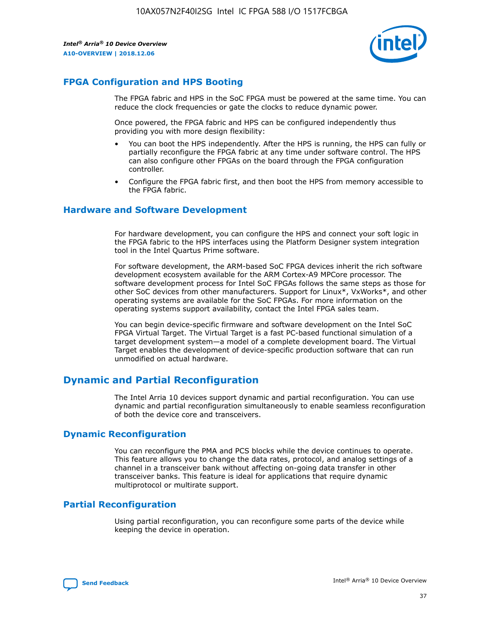

### **FPGA Configuration and HPS Booting**

The FPGA fabric and HPS in the SoC FPGA must be powered at the same time. You can reduce the clock frequencies or gate the clocks to reduce dynamic power.

Once powered, the FPGA fabric and HPS can be configured independently thus providing you with more design flexibility:

- You can boot the HPS independently. After the HPS is running, the HPS can fully or partially reconfigure the FPGA fabric at any time under software control. The HPS can also configure other FPGAs on the board through the FPGA configuration controller.
- Configure the FPGA fabric first, and then boot the HPS from memory accessible to the FPGA fabric.

### **Hardware and Software Development**

For hardware development, you can configure the HPS and connect your soft logic in the FPGA fabric to the HPS interfaces using the Platform Designer system integration tool in the Intel Quartus Prime software.

For software development, the ARM-based SoC FPGA devices inherit the rich software development ecosystem available for the ARM Cortex-A9 MPCore processor. The software development process for Intel SoC FPGAs follows the same steps as those for other SoC devices from other manufacturers. Support for Linux\*, VxWorks\*, and other operating systems are available for the SoC FPGAs. For more information on the operating systems support availability, contact the Intel FPGA sales team.

You can begin device-specific firmware and software development on the Intel SoC FPGA Virtual Target. The Virtual Target is a fast PC-based functional simulation of a target development system—a model of a complete development board. The Virtual Target enables the development of device-specific production software that can run unmodified on actual hardware.

### **Dynamic and Partial Reconfiguration**

The Intel Arria 10 devices support dynamic and partial reconfiguration. You can use dynamic and partial reconfiguration simultaneously to enable seamless reconfiguration of both the device core and transceivers.

### **Dynamic Reconfiguration**

You can reconfigure the PMA and PCS blocks while the device continues to operate. This feature allows you to change the data rates, protocol, and analog settings of a channel in a transceiver bank without affecting on-going data transfer in other transceiver banks. This feature is ideal for applications that require dynamic multiprotocol or multirate support.

### **Partial Reconfiguration**

Using partial reconfiguration, you can reconfigure some parts of the device while keeping the device in operation.

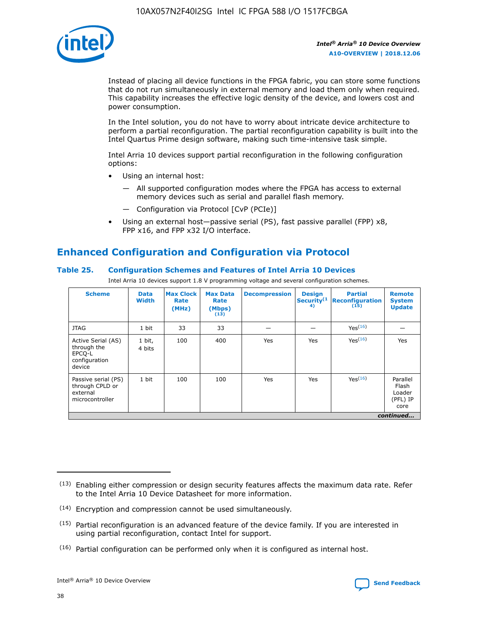

Instead of placing all device functions in the FPGA fabric, you can store some functions that do not run simultaneously in external memory and load them only when required. This capability increases the effective logic density of the device, and lowers cost and power consumption.

In the Intel solution, you do not have to worry about intricate device architecture to perform a partial reconfiguration. The partial reconfiguration capability is built into the Intel Quartus Prime design software, making such time-intensive task simple.

Intel Arria 10 devices support partial reconfiguration in the following configuration options:

- Using an internal host:
	- All supported configuration modes where the FPGA has access to external memory devices such as serial and parallel flash memory.
	- Configuration via Protocol [CvP (PCIe)]
- Using an external host—passive serial (PS), fast passive parallel (FPP) x8, FPP x16, and FPP x32 I/O interface.

### **Enhanced Configuration and Configuration via Protocol**

### **Table 25. Configuration Schemes and Features of Intel Arria 10 Devices**

Intel Arria 10 devices support 1.8 V programming voltage and several configuration schemes.

| <b>Scheme</b>                                                          | <b>Data</b><br><b>Width</b> | <b>Max Clock</b><br>Rate<br>(MHz) | <b>Max Data</b><br>Rate<br>(Mbps)<br>(13) | <b>Decompression</b> | <b>Design</b><br>Security <sup>(1</sup><br>4) | <b>Partial</b><br><b>Reconfiguration</b><br>(15) | <b>Remote</b><br><b>System</b><br><b>Update</b> |
|------------------------------------------------------------------------|-----------------------------|-----------------------------------|-------------------------------------------|----------------------|-----------------------------------------------|--------------------------------------------------|-------------------------------------------------|
| <b>JTAG</b>                                                            | 1 bit                       | 33                                | 33                                        |                      |                                               | Yes(16)                                          |                                                 |
| Active Serial (AS)<br>through the<br>EPCO-L<br>configuration<br>device | 1 bit,<br>4 bits            | 100                               | 400                                       | Yes                  | Yes                                           | $Y_{PS}(16)$                                     | Yes                                             |
| Passive serial (PS)<br>through CPLD or<br>external<br>microcontroller  | 1 bit                       | 100                               | 100                                       | Yes                  | Yes                                           | Yes(16)                                          | Parallel<br>Flash<br>Loader<br>(PFL) IP<br>core |
|                                                                        |                             |                                   |                                           |                      |                                               |                                                  | continued                                       |

<sup>(13)</sup> Enabling either compression or design security features affects the maximum data rate. Refer to the Intel Arria 10 Device Datasheet for more information.

<sup>(14)</sup> Encryption and compression cannot be used simultaneously.

 $(15)$  Partial reconfiguration is an advanced feature of the device family. If you are interested in using partial reconfiguration, contact Intel for support.

 $(16)$  Partial configuration can be performed only when it is configured as internal host.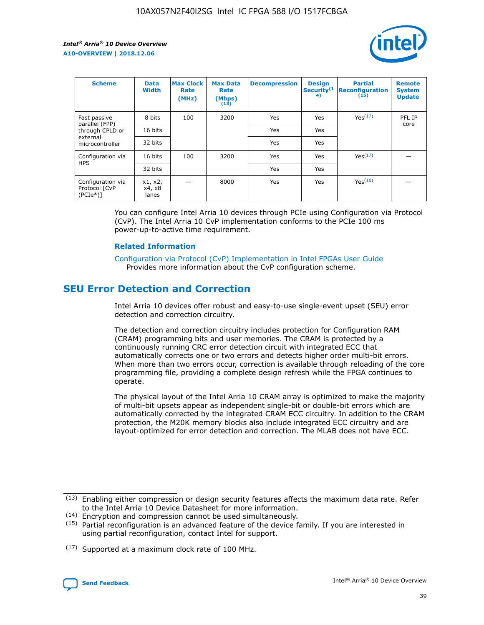

| <b>Scheme</b>                                   | <b>Data</b><br>Width       | <b>Max Clock</b><br>Rate<br>(MHz) | <b>Max Data</b><br>Rate<br>(Mbps)<br>(13) | <b>Decompression</b> | <b>Design</b><br>Security <sup>(1</sup><br>4) | <b>Partial</b><br><b>Reconfiguration</b><br>(15) | <b>Remote</b><br><b>System</b><br><b>Update</b> |
|-------------------------------------------------|----------------------------|-----------------------------------|-------------------------------------------|----------------------|-----------------------------------------------|--------------------------------------------------|-------------------------------------------------|
| Fast passive                                    | 8 bits                     | 100                               | 3200                                      | Yes                  | Yes                                           | Yes(17)                                          | PFL IP                                          |
| parallel (FPP)<br>through CPLD or               | 16 bits                    |                                   |                                           | Yes                  | Yes                                           |                                                  | core                                            |
| external<br>microcontroller                     | 32 bits                    |                                   |                                           | Yes                  | Yes                                           |                                                  |                                                 |
| Configuration via                               | 16 bits                    | 100                               | 3200                                      | Yes                  | Yes                                           | Yes <sup>(17)</sup>                              |                                                 |
| <b>HPS</b>                                      | 32 bits                    |                                   |                                           | Yes                  | Yes                                           |                                                  |                                                 |
| Configuration via<br>Protocol [CvP<br>$(PCIe*)$ | x1, x2,<br>x4, x8<br>lanes |                                   | 8000                                      | Yes                  | Yes                                           | Yes(16)                                          |                                                 |

You can configure Intel Arria 10 devices through PCIe using Configuration via Protocol (CvP). The Intel Arria 10 CvP implementation conforms to the PCIe 100 ms power-up-to-active time requirement.

#### **Related Information**

[Configuration via Protocol \(CvP\) Implementation in Intel FPGAs User Guide](https://www.intel.com/content/www/us/en/programmable/documentation/dsu1441819344145.html#dsu1442269728522) Provides more information about the CvP configuration scheme.

### **SEU Error Detection and Correction**

Intel Arria 10 devices offer robust and easy-to-use single-event upset (SEU) error detection and correction circuitry.

The detection and correction circuitry includes protection for Configuration RAM (CRAM) programming bits and user memories. The CRAM is protected by a continuously running CRC error detection circuit with integrated ECC that automatically corrects one or two errors and detects higher order multi-bit errors. When more than two errors occur, correction is available through reloading of the core programming file, providing a complete design refresh while the FPGA continues to operate.

The physical layout of the Intel Arria 10 CRAM array is optimized to make the majority of multi-bit upsets appear as independent single-bit or double-bit errors which are automatically corrected by the integrated CRAM ECC circuitry. In addition to the CRAM protection, the M20K memory blocks also include integrated ECC circuitry and are layout-optimized for error detection and correction. The MLAB does not have ECC.

(14) Encryption and compression cannot be used simultaneously.

<sup>(17)</sup> Supported at a maximum clock rate of 100 MHz.



 $(13)$  Enabling either compression or design security features affects the maximum data rate. Refer to the Intel Arria 10 Device Datasheet for more information.

 $(15)$  Partial reconfiguration is an advanced feature of the device family. If you are interested in using partial reconfiguration, contact Intel for support.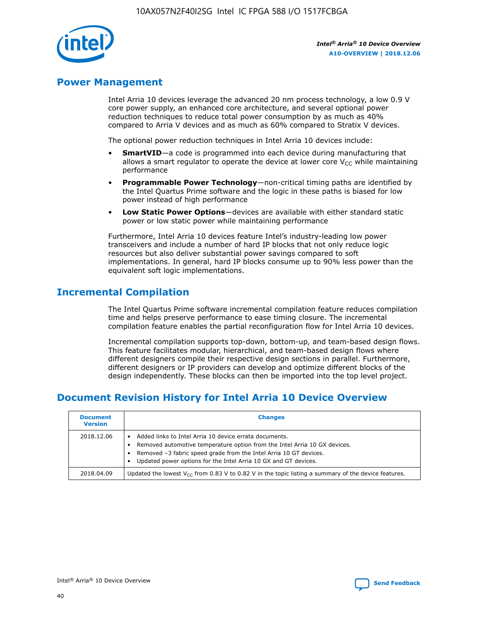

### **Power Management**

Intel Arria 10 devices leverage the advanced 20 nm process technology, a low 0.9 V core power supply, an enhanced core architecture, and several optional power reduction techniques to reduce total power consumption by as much as 40% compared to Arria V devices and as much as 60% compared to Stratix V devices.

The optional power reduction techniques in Intel Arria 10 devices include:

- **SmartVID**—a code is programmed into each device during manufacturing that allows a smart regulator to operate the device at lower core  $V_{CC}$  while maintaining performance
- **Programmable Power Technology**—non-critical timing paths are identified by the Intel Quartus Prime software and the logic in these paths is biased for low power instead of high performance
- **Low Static Power Options**—devices are available with either standard static power or low static power while maintaining performance

Furthermore, Intel Arria 10 devices feature Intel's industry-leading low power transceivers and include a number of hard IP blocks that not only reduce logic resources but also deliver substantial power savings compared to soft implementations. In general, hard IP blocks consume up to 90% less power than the equivalent soft logic implementations.

### **Incremental Compilation**

The Intel Quartus Prime software incremental compilation feature reduces compilation time and helps preserve performance to ease timing closure. The incremental compilation feature enables the partial reconfiguration flow for Intel Arria 10 devices.

Incremental compilation supports top-down, bottom-up, and team-based design flows. This feature facilitates modular, hierarchical, and team-based design flows where different designers compile their respective design sections in parallel. Furthermore, different designers or IP providers can develop and optimize different blocks of the design independently. These blocks can then be imported into the top level project.

### **Document Revision History for Intel Arria 10 Device Overview**

| <b>Document</b><br><b>Version</b> | <b>Changes</b>                                                                                                                                                                                                                                                              |
|-----------------------------------|-----------------------------------------------------------------------------------------------------------------------------------------------------------------------------------------------------------------------------------------------------------------------------|
| 2018.12.06                        | Added links to Intel Arria 10 device errata documents.<br>Removed automotive temperature option from the Intel Arria 10 GX devices.<br>Removed -3 fabric speed grade from the Intel Arria 10 GT devices.<br>Updated power options for the Intel Arria 10 GX and GT devices. |
| 2018.04.09                        | Updated the lowest $V_{CC}$ from 0.83 V to 0.82 V in the topic listing a summary of the device features.                                                                                                                                                                    |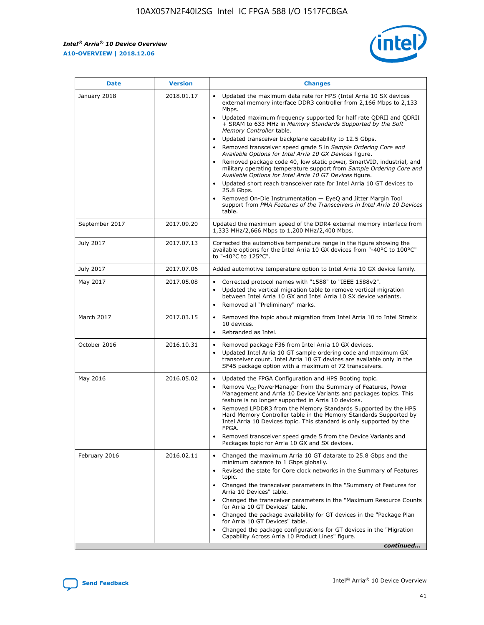*Intel® Arria® 10 Device Overview* **A10-OVERVIEW | 2018.12.06**



| <b>Date</b>    | <b>Version</b> | <b>Changes</b>                                                                                                                                                                                                                                                                                                                                                                                                                                                                                                                                                                                                                                                                                                                                                                                                                                                                                                                                                            |
|----------------|----------------|---------------------------------------------------------------------------------------------------------------------------------------------------------------------------------------------------------------------------------------------------------------------------------------------------------------------------------------------------------------------------------------------------------------------------------------------------------------------------------------------------------------------------------------------------------------------------------------------------------------------------------------------------------------------------------------------------------------------------------------------------------------------------------------------------------------------------------------------------------------------------------------------------------------------------------------------------------------------------|
| January 2018   | 2018.01.17     | Updated the maximum data rate for HPS (Intel Arria 10 SX devices<br>external memory interface DDR3 controller from 2,166 Mbps to 2,133<br>Mbps.<br>Updated maximum frequency supported for half rate QDRII and QDRII<br>+ SRAM to 633 MHz in Memory Standards Supported by the Soft<br>Memory Controller table.<br>Updated transceiver backplane capability to 12.5 Gbps.<br>$\bullet$<br>Removed transceiver speed grade 5 in Sample Ordering Core and<br>Available Options for Intel Arria 10 GX Devices figure.<br>Removed package code 40, low static power, SmartVID, industrial, and<br>military operating temperature support from Sample Ordering Core and<br>Available Options for Intel Arria 10 GT Devices figure.<br>Updated short reach transceiver rate for Intel Arria 10 GT devices to<br>25.8 Gbps.<br>Removed On-Die Instrumentation - EyeQ and Jitter Margin Tool<br>support from PMA Features of the Transceivers in Intel Arria 10 Devices<br>table. |
| September 2017 | 2017.09.20     | Updated the maximum speed of the DDR4 external memory interface from<br>1,333 MHz/2,666 Mbps to 1,200 MHz/2,400 Mbps.                                                                                                                                                                                                                                                                                                                                                                                                                                                                                                                                                                                                                                                                                                                                                                                                                                                     |
| July 2017      | 2017.07.13     | Corrected the automotive temperature range in the figure showing the<br>available options for the Intel Arria 10 GX devices from "-40°C to 100°C"<br>to "-40°C to 125°C".                                                                                                                                                                                                                                                                                                                                                                                                                                                                                                                                                                                                                                                                                                                                                                                                 |
| July 2017      | 2017.07.06     | Added automotive temperature option to Intel Arria 10 GX device family.                                                                                                                                                                                                                                                                                                                                                                                                                                                                                                                                                                                                                                                                                                                                                                                                                                                                                                   |
| May 2017       | 2017.05.08     | Corrected protocol names with "1588" to "IEEE 1588v2".<br>$\bullet$<br>Updated the vertical migration table to remove vertical migration<br>$\bullet$<br>between Intel Arria 10 GX and Intel Arria 10 SX device variants.<br>Removed all "Preliminary" marks.<br>$\bullet$                                                                                                                                                                                                                                                                                                                                                                                                                                                                                                                                                                                                                                                                                                |
| March 2017     | 2017.03.15     | Removed the topic about migration from Intel Arria 10 to Intel Stratix<br>10 devices.<br>Rebranded as Intel.<br>$\bullet$                                                                                                                                                                                                                                                                                                                                                                                                                                                                                                                                                                                                                                                                                                                                                                                                                                                 |
| October 2016   | 2016.10.31     | Removed package F36 from Intel Arria 10 GX devices.<br>Updated Intel Arria 10 GT sample ordering code and maximum GX<br>$\bullet$<br>transceiver count. Intel Arria 10 GT devices are available only in the<br>SF45 package option with a maximum of 72 transceivers.                                                                                                                                                                                                                                                                                                                                                                                                                                                                                                                                                                                                                                                                                                     |
| May 2016       | 2016.05.02     | Updated the FPGA Configuration and HPS Booting topic.<br>$\bullet$<br>Remove V <sub>CC</sub> PowerManager from the Summary of Features, Power<br>Management and Arria 10 Device Variants and packages topics. This<br>feature is no longer supported in Arria 10 devices.<br>Removed LPDDR3 from the Memory Standards Supported by the HPS<br>Hard Memory Controller table in the Memory Standards Supported by<br>Intel Arria 10 Devices topic. This standard is only supported by the<br>FPGA.<br>Removed transceiver speed grade 5 from the Device Variants and<br>Packages topic for Arria 10 GX and SX devices.                                                                                                                                                                                                                                                                                                                                                      |
| February 2016  | 2016.02.11     | Changed the maximum Arria 10 GT datarate to 25.8 Gbps and the<br>minimum datarate to 1 Gbps globally.<br>Revised the state for Core clock networks in the Summary of Features<br>$\bullet$<br>topic.<br>Changed the transceiver parameters in the "Summary of Features for<br>$\bullet$<br>Arria 10 Devices" table.<br>• Changed the transceiver parameters in the "Maximum Resource Counts<br>for Arria 10 GT Devices" table.<br>Changed the package availability for GT devices in the "Package Plan<br>for Arria 10 GT Devices" table.<br>Changed the package configurations for GT devices in the "Migration"<br>Capability Across Arria 10 Product Lines" figure.<br>continued                                                                                                                                                                                                                                                                                       |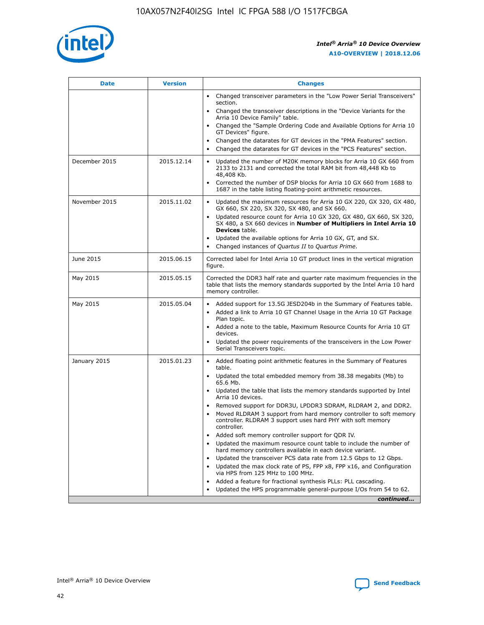

| <b>Date</b>   | <b>Version</b> | <b>Changes</b>                                                                                                                                                                   |
|---------------|----------------|----------------------------------------------------------------------------------------------------------------------------------------------------------------------------------|
|               |                | • Changed transceiver parameters in the "Low Power Serial Transceivers"<br>section.                                                                                              |
|               |                | • Changed the transceiver descriptions in the "Device Variants for the<br>Arria 10 Device Family" table.                                                                         |
|               |                | Changed the "Sample Ordering Code and Available Options for Arria 10<br>GT Devices" figure.                                                                                      |
|               |                | Changed the datarates for GT devices in the "PMA Features" section.                                                                                                              |
|               |                | Changed the datarates for GT devices in the "PCS Features" section.<br>$\bullet$                                                                                                 |
| December 2015 | 2015.12.14     | Updated the number of M20K memory blocks for Arria 10 GX 660 from<br>$\bullet$<br>2133 to 2131 and corrected the total RAM bit from 48,448 Kb to<br>48,408 Kb.                   |
|               |                | Corrected the number of DSP blocks for Arria 10 GX 660 from 1688 to<br>$\bullet$<br>1687 in the table listing floating-point arithmetic resources.                               |
| November 2015 | 2015.11.02     | Updated the maximum resources for Arria 10 GX 220, GX 320, GX 480,<br>$\bullet$<br>GX 660, SX 220, SX 320, SX 480, and SX 660.                                                   |
|               |                | Updated resource count for Arria 10 GX 320, GX 480, GX 660, SX 320,<br>$\bullet$<br>SX 480, a SX 660 devices in Number of Multipliers in Intel Arria 10<br><b>Devices</b> table. |
|               |                | Updated the available options for Arria 10 GX, GT, and SX.<br>$\bullet$                                                                                                          |
|               |                | Changed instances of Quartus II to Quartus Prime.<br>$\bullet$                                                                                                                   |
| June 2015     | 2015.06.15     | Corrected label for Intel Arria 10 GT product lines in the vertical migration<br>figure.                                                                                         |
| May 2015      | 2015.05.15     | Corrected the DDR3 half rate and quarter rate maximum frequencies in the<br>table that lists the memory standards supported by the Intel Arria 10 hard<br>memory controller.     |
| May 2015      | 2015.05.04     | • Added support for 13.5G JESD204b in the Summary of Features table.<br>• Added a link to Arria 10 GT Channel Usage in the Arria 10 GT Package<br>Plan topic.                    |
|               |                | • Added a note to the table, Maximum Resource Counts for Arria 10 GT<br>devices.                                                                                                 |
|               |                | Updated the power requirements of the transceivers in the Low Power<br>Serial Transceivers topic.                                                                                |
| January 2015  | 2015.01.23     | • Added floating point arithmetic features in the Summary of Features<br>table.                                                                                                  |
|               |                | • Updated the total embedded memory from 38.38 megabits (Mb) to<br>65.6 Mb.                                                                                                      |
|               |                | • Updated the table that lists the memory standards supported by Intel<br>Arria 10 devices.                                                                                      |
|               |                | Removed support for DDR3U, LPDDR3 SDRAM, RLDRAM 2, and DDR2.<br>Moved RLDRAM 3 support from hard memory controller to soft memory                                                |
|               |                | controller. RLDRAM 3 support uses hard PHY with soft memory<br>controller.                                                                                                       |
|               |                | Added soft memory controller support for QDR IV.                                                                                                                                 |
|               |                | Updated the maximum resource count table to include the number of<br>hard memory controllers available in each device variant.                                                   |
|               |                | Updated the transceiver PCS data rate from 12.5 Gbps to 12 Gbps.<br>$\bullet$                                                                                                    |
|               |                | Updated the max clock rate of PS, FPP x8, FPP x16, and Configuration<br>via HPS from 125 MHz to 100 MHz.                                                                         |
|               |                | Added a feature for fractional synthesis PLLs: PLL cascading.                                                                                                                    |
|               |                | Updated the HPS programmable general-purpose I/Os from 54 to 62.<br>$\bullet$                                                                                                    |
|               |                | continued                                                                                                                                                                        |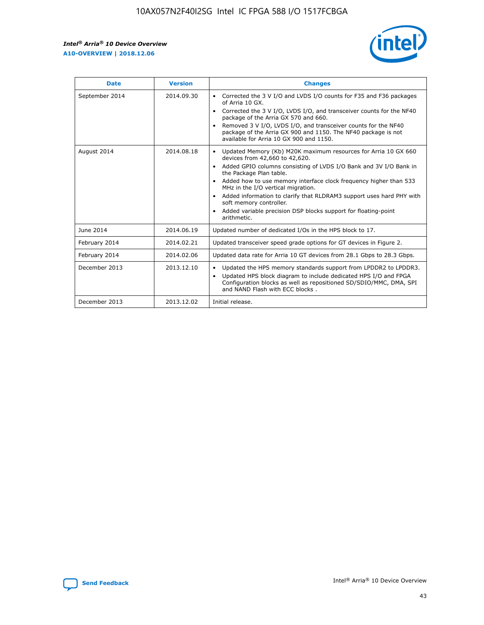r



| <b>Date</b>    | <b>Version</b> | <b>Changes</b>                                                                                                                                                                                                                                                                                                                                                                                                                                                                                                                                      |
|----------------|----------------|-----------------------------------------------------------------------------------------------------------------------------------------------------------------------------------------------------------------------------------------------------------------------------------------------------------------------------------------------------------------------------------------------------------------------------------------------------------------------------------------------------------------------------------------------------|
| September 2014 | 2014.09.30     | Corrected the 3 V I/O and LVDS I/O counts for F35 and F36 packages<br>$\bullet$<br>of Arria 10 GX.<br>Corrected the 3 V I/O, LVDS I/O, and transceiver counts for the NF40<br>$\bullet$<br>package of the Arria GX 570 and 660.<br>Removed 3 V I/O, LVDS I/O, and transceiver counts for the NF40<br>package of the Arria GX 900 and 1150. The NF40 package is not<br>available for Arria 10 GX 900 and 1150.                                                                                                                                       |
| August 2014    | 2014.08.18     | Updated Memory (Kb) M20K maximum resources for Arria 10 GX 660<br>devices from 42,660 to 42,620.<br>Added GPIO columns consisting of LVDS I/O Bank and 3V I/O Bank in<br>$\bullet$<br>the Package Plan table.<br>Added how to use memory interface clock frequency higher than 533<br>$\bullet$<br>MHz in the I/O vertical migration.<br>Added information to clarify that RLDRAM3 support uses hard PHY with<br>$\bullet$<br>soft memory controller.<br>Added variable precision DSP blocks support for floating-point<br>$\bullet$<br>arithmetic. |
| June 2014      | 2014.06.19     | Updated number of dedicated I/Os in the HPS block to 17.                                                                                                                                                                                                                                                                                                                                                                                                                                                                                            |
| February 2014  | 2014.02.21     | Updated transceiver speed grade options for GT devices in Figure 2.                                                                                                                                                                                                                                                                                                                                                                                                                                                                                 |
| February 2014  | 2014.02.06     | Updated data rate for Arria 10 GT devices from 28.1 Gbps to 28.3 Gbps.                                                                                                                                                                                                                                                                                                                                                                                                                                                                              |
| December 2013  | 2013.12.10     | Updated the HPS memory standards support from LPDDR2 to LPDDR3.<br>Updated HPS block diagram to include dedicated HPS I/O and FPGA<br>$\bullet$<br>Configuration blocks as well as repositioned SD/SDIO/MMC, DMA, SPI<br>and NAND Flash with ECC blocks.                                                                                                                                                                                                                                                                                            |
| December 2013  | 2013.12.02     | Initial release.                                                                                                                                                                                                                                                                                                                                                                                                                                                                                                                                    |